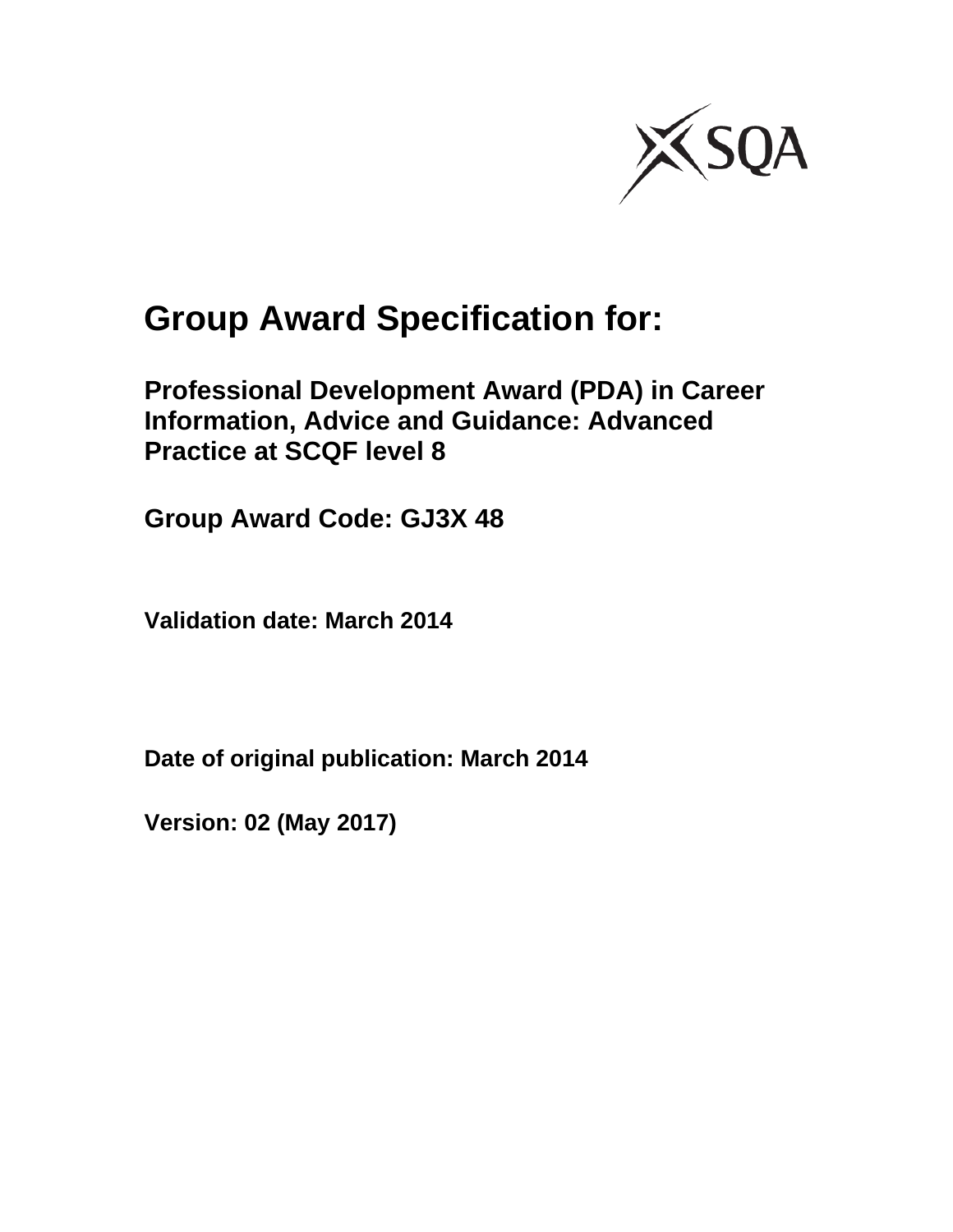

# **Group Award Specification for:**

**Professional Development Award (PDA) in Career Information, Advice and Guidance: Advanced Practice at SCQF level 8** 

**Group Award Code: GJ3X 48** 

**Validation date: March 2014** 

**Date of original publication: March 2014** 

**Version: 02 (May 2017)**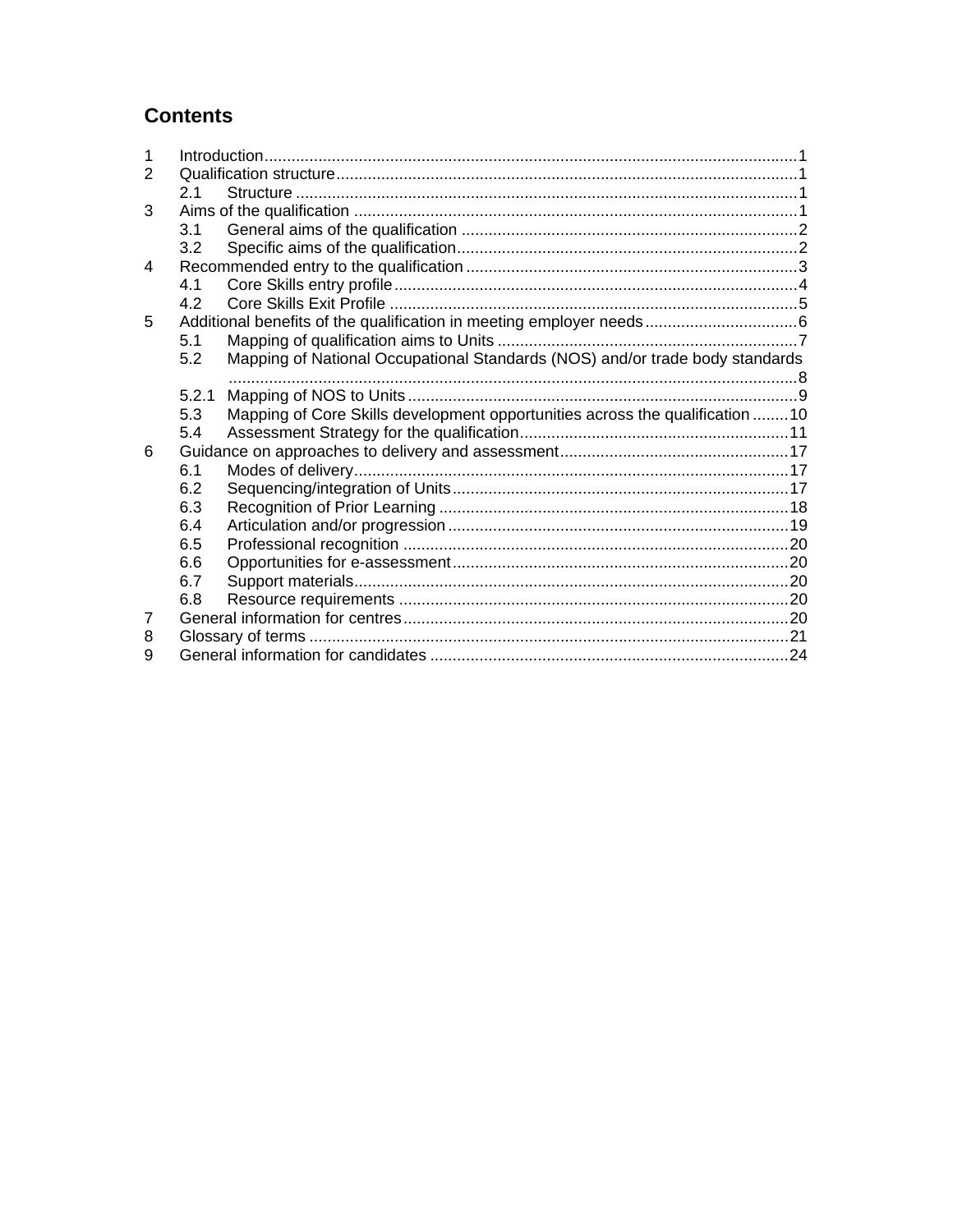### **Contents**

| 1 |                |                                                                              |  |
|---|----------------|------------------------------------------------------------------------------|--|
| 2 |                |                                                                              |  |
|   | 2 <sub>1</sub> |                                                                              |  |
| 3 |                |                                                                              |  |
|   | 3.1            |                                                                              |  |
|   | 3.2            |                                                                              |  |
| 4 |                |                                                                              |  |
|   | 4.1            |                                                                              |  |
|   | 4.2            |                                                                              |  |
| 5 |                |                                                                              |  |
|   | 5.1            |                                                                              |  |
|   | 5.2            | Mapping of National Occupational Standards (NOS) and/or trade body standards |  |
|   |                |                                                                              |  |
|   | 5.2.1          |                                                                              |  |
|   | 5.3            | Mapping of Core Skills development opportunities across the qualification 10 |  |
|   | 5.4            |                                                                              |  |
| 6 |                |                                                                              |  |
|   | 6.1            |                                                                              |  |
|   | 6.2            |                                                                              |  |
|   | 6.3            |                                                                              |  |
|   | 6.4            |                                                                              |  |
|   | 6.5            |                                                                              |  |
|   | 6.6            |                                                                              |  |
|   | 6.7            |                                                                              |  |
|   | 6.8            |                                                                              |  |
| 7 |                |                                                                              |  |
| 8 |                |                                                                              |  |
| 9 |                |                                                                              |  |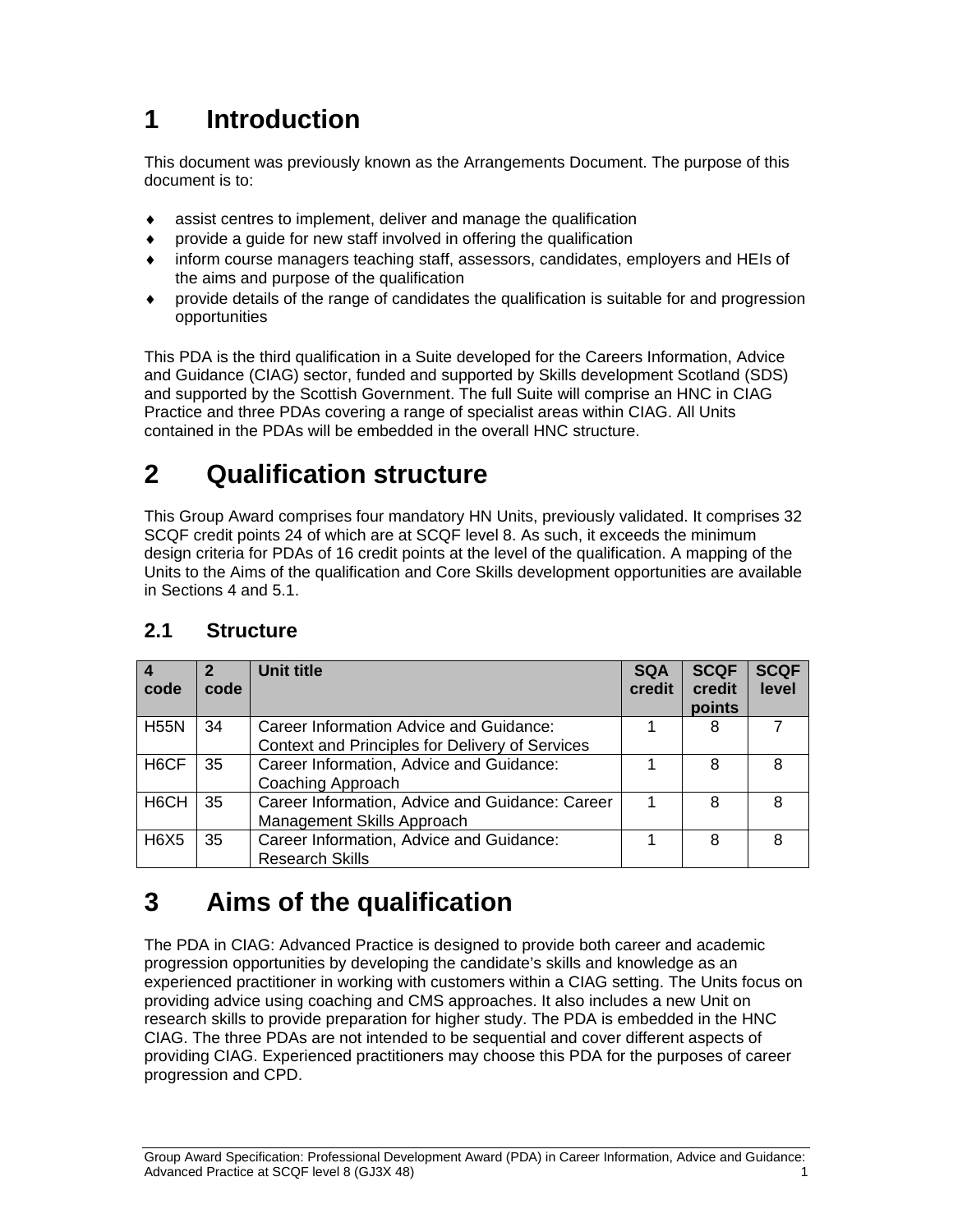# **1 Introduction**

This document was previously known as the Arrangements Document. The purpose of this document is to:

- assist centres to implement, deliver and manage the qualification
- provide a guide for new staff involved in offering the qualification
- inform course managers teaching staff, assessors, candidates, employers and HEIs of the aims and purpose of the qualification
- provide details of the range of candidates the qualification is suitable for and progression opportunities

This PDA is the third qualification in a Suite developed for the Careers Information, Advice and Guidance (CIAG) sector, funded and supported by Skills development Scotland (SDS) and supported by the Scottish Government. The full Suite will comprise an HNC in CIAG Practice and three PDAs covering a range of specialist areas within CIAG. All Units contained in the PDAs will be embedded in the overall HNC structure.

# **2 Qualification structure**

This Group Award comprises four mandatory HN Units, previously validated. It comprises 32 SCQF credit points 24 of which are at SCQF level 8. As such, it exceeds the minimum design criteria for PDAs of 16 credit points at the level of the qualification. A mapping of the Units to the Aims of the qualification and Core Skills development opportunities are available in Sections 4 and 5.1.

| code              | code | <b>Unit title</b>                                                                          | <b>SQA</b><br>credit | <b>SCQF</b><br>credit<br>points | <b>SCQF</b><br>level |
|-------------------|------|--------------------------------------------------------------------------------------------|----------------------|---------------------------------|----------------------|
| <b>H55N</b>       | 34   | Career Information Advice and Guidance:<br>Context and Principles for Delivery of Services |                      | 8                               |                      |
| H <sub>6</sub> CF | 35   | Career Information, Advice and Guidance:<br>Coaching Approach                              |                      | 8                               | 8                    |
| H <sub>6</sub> CH | 35   | Career Information, Advice and Guidance: Career<br>Management Skills Approach              |                      | 8                               | 8                    |
| <b>H6X5</b>       | 35   | Career Information, Advice and Guidance:<br><b>Research Skills</b>                         |                      | 8                               | 8                    |

#### **2.1 Structure**

# **3 Aims of the qualification**

The PDA in CIAG: Advanced Practice is designed to provide both career and academic progression opportunities by developing the candidate's skills and knowledge as an experienced practitioner in working with customers within a CIAG setting. The Units focus on providing advice using coaching and CMS approaches. It also includes a new Unit on research skills to provide preparation for higher study. The PDA is embedded in the HNC CIAG. The three PDAs are not intended to be sequential and cover different aspects of providing CIAG. Experienced practitioners may choose this PDA for the purposes of career progression and CPD.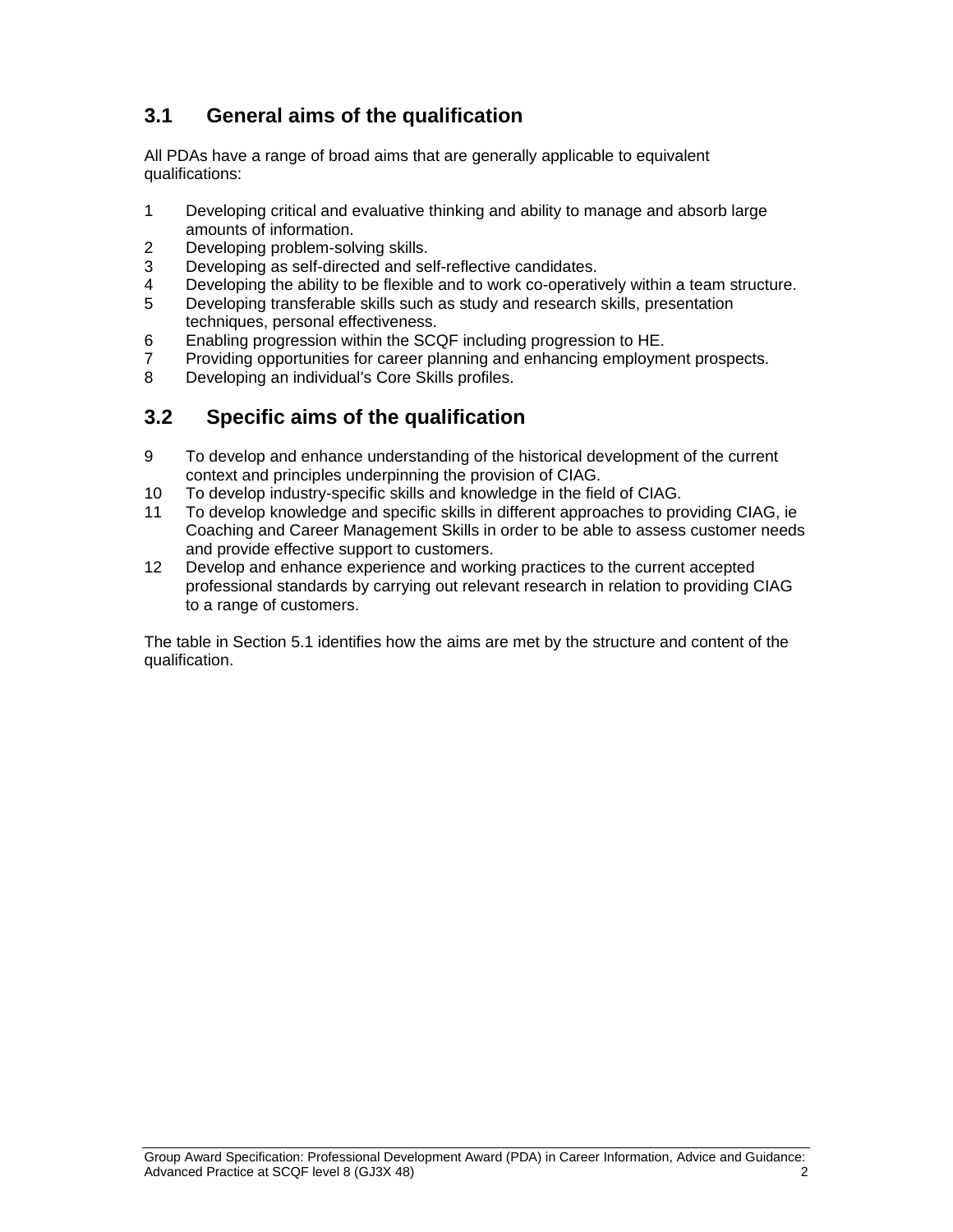### **3.1 General aims of the qualification**

All PDAs have a range of broad aims that are generally applicable to equivalent qualifications:

- 1 Developing critical and evaluative thinking and ability to manage and absorb large amounts of information.
- 2 Developing problem-solving skills.
- 3 Developing as self-directed and self-reflective candidates.
- 4 Developing the ability to be flexible and to work co-operatively within a team structure.
- 5 Developing transferable skills such as study and research skills, presentation techniques, personal effectiveness.
- 6 Enabling progression within the SCQF including progression to HE.
- 7 Providing opportunities for career planning and enhancing employment prospects.<br>8 Developing an individual's Core Skills profiles
- Developing an individual's Core Skills profiles.

#### **3.2 Specific aims of the qualification**

- 9 To develop and enhance understanding of the historical development of the current context and principles underpinning the provision of CIAG.
- 10 To develop industry-specific skills and knowledge in the field of CIAG.
- 11 To develop knowledge and specific skills in different approaches to providing CIAG, ie Coaching and Career Management Skills in order to be able to assess customer needs and provide effective support to customers.
- 12 Develop and enhance experience and working practices to the current accepted professional standards by carrying out relevant research in relation to providing CIAG to a range of customers.

The table in Section 5.1 identifies how the aims are met by the structure and content of the qualification.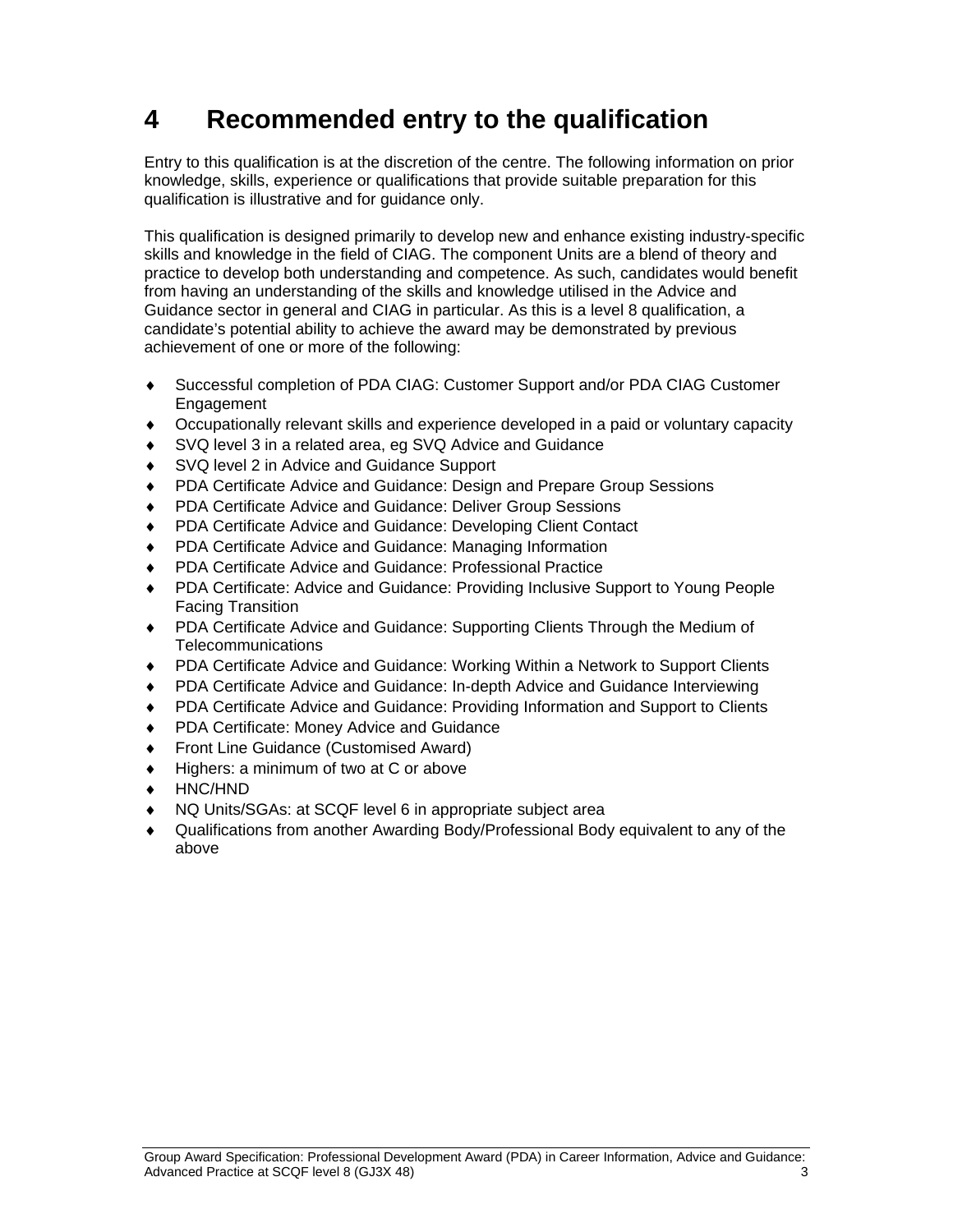# **4 Recommended entry to the qualification**

Entry to this qualification is at the discretion of the centre. The following information on prior knowledge, skills, experience or qualifications that provide suitable preparation for this qualification is illustrative and for guidance only.

This qualification is designed primarily to develop new and enhance existing industry-specific skills and knowledge in the field of CIAG. The component Units are a blend of theory and practice to develop both understanding and competence. As such, candidates would benefit from having an understanding of the skills and knowledge utilised in the Advice and Guidance sector in general and CIAG in particular. As this is a level 8 qualification, a candidate's potential ability to achieve the award may be demonstrated by previous achievement of one or more of the following:

- Successful completion of PDA CIAG: Customer Support and/or PDA CIAG Customer Engagement
- Occupationally relevant skills and experience developed in a paid or voluntary capacity
- SVQ level 3 in a related area, eg SVQ Advice and Guidance
- ◆ SVQ level 2 in Advice and Guidance Support
- ◆ PDA Certificate Advice and Guidance: Design and Prepare Group Sessions
- ◆ PDA Certificate Advice and Guidance: Deliver Group Sessions
- PDA Certificate Advice and Guidance: Developing Client Contact
- ◆ PDA Certificate Advice and Guidance: Managing Information
- PDA Certificate Advice and Guidance: Professional Practice
- PDA Certificate: Advice and Guidance: Providing Inclusive Support to Young People Facing Transition
- PDA Certificate Advice and Guidance: Supporting Clients Through the Medium of Telecommunications
- PDA Certificate Advice and Guidance: Working Within a Network to Support Clients
- PDA Certificate Advice and Guidance: In-depth Advice and Guidance Interviewing
- PDA Certificate Advice and Guidance: Providing Information and Support to Clients
- ◆ PDA Certificate: Money Advice and Guidance
- ◆ Front Line Guidance (Customised Award)
- ◆ Highers: a minimum of two at C or above
- HNC/HND
- NQ Units/SGAs: at SCQF level 6 in appropriate subject area
- Qualifications from another Awarding Body/Professional Body equivalent to any of the above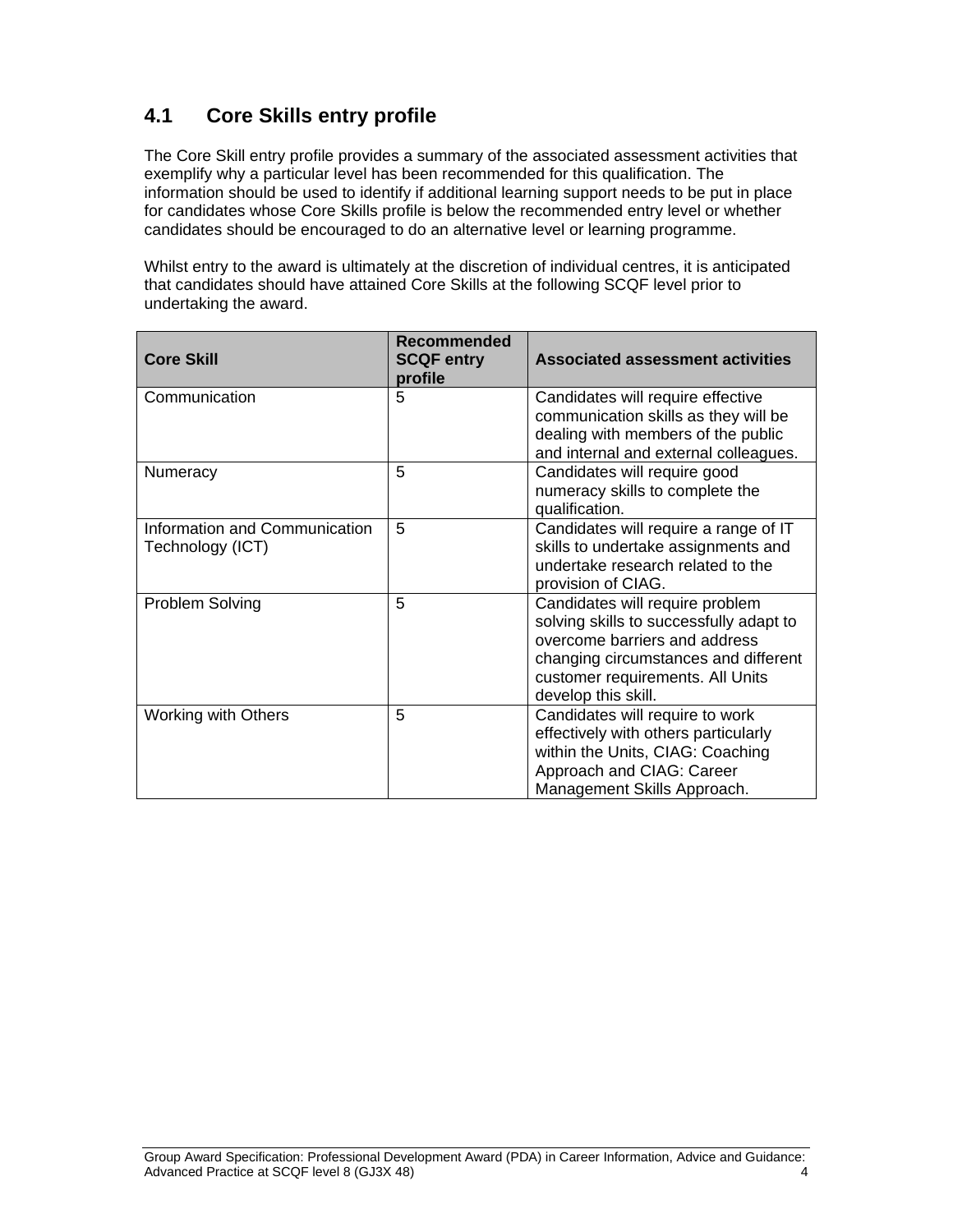### **4.1 Core Skills entry profile**

The Core Skill entry profile provides a summary of the associated assessment activities that exemplify why a particular level has been recommended for this qualification. The information should be used to identify if additional learning support needs to be put in place for candidates whose Core Skills profile is below the recommended entry level or whether candidates should be encouraged to do an alternative level or learning programme.

Whilst entry to the award is ultimately at the discretion of individual centres, it is anticipated that candidates should have attained Core Skills at the following SCQF level prior to undertaking the award.

| <b>Core Skill</b>                                 | <b>Recommended</b><br><b>SCQF entry</b><br>profile | <b>Associated assessment activities</b>                                                                                                                                                                        |
|---------------------------------------------------|----------------------------------------------------|----------------------------------------------------------------------------------------------------------------------------------------------------------------------------------------------------------------|
| Communication                                     | 5                                                  | Candidates will require effective<br>communication skills as they will be<br>dealing with members of the public<br>and internal and external colleagues.                                                       |
| Numeracy                                          | 5                                                  | Candidates will require good<br>numeracy skills to complete the<br>qualification.                                                                                                                              |
| Information and Communication<br>Technology (ICT) | 5                                                  | Candidates will require a range of IT<br>skills to undertake assignments and<br>undertake research related to the<br>provision of CIAG.                                                                        |
| Problem Solving                                   | 5                                                  | Candidates will require problem<br>solving skills to successfully adapt to<br>overcome barriers and address<br>changing circumstances and different<br>customer requirements. All Units<br>develop this skill. |
| <b>Working with Others</b>                        | 5                                                  | Candidates will require to work<br>effectively with others particularly<br>within the Units, CIAG: Coaching<br>Approach and CIAG: Career<br>Management Skills Approach.                                        |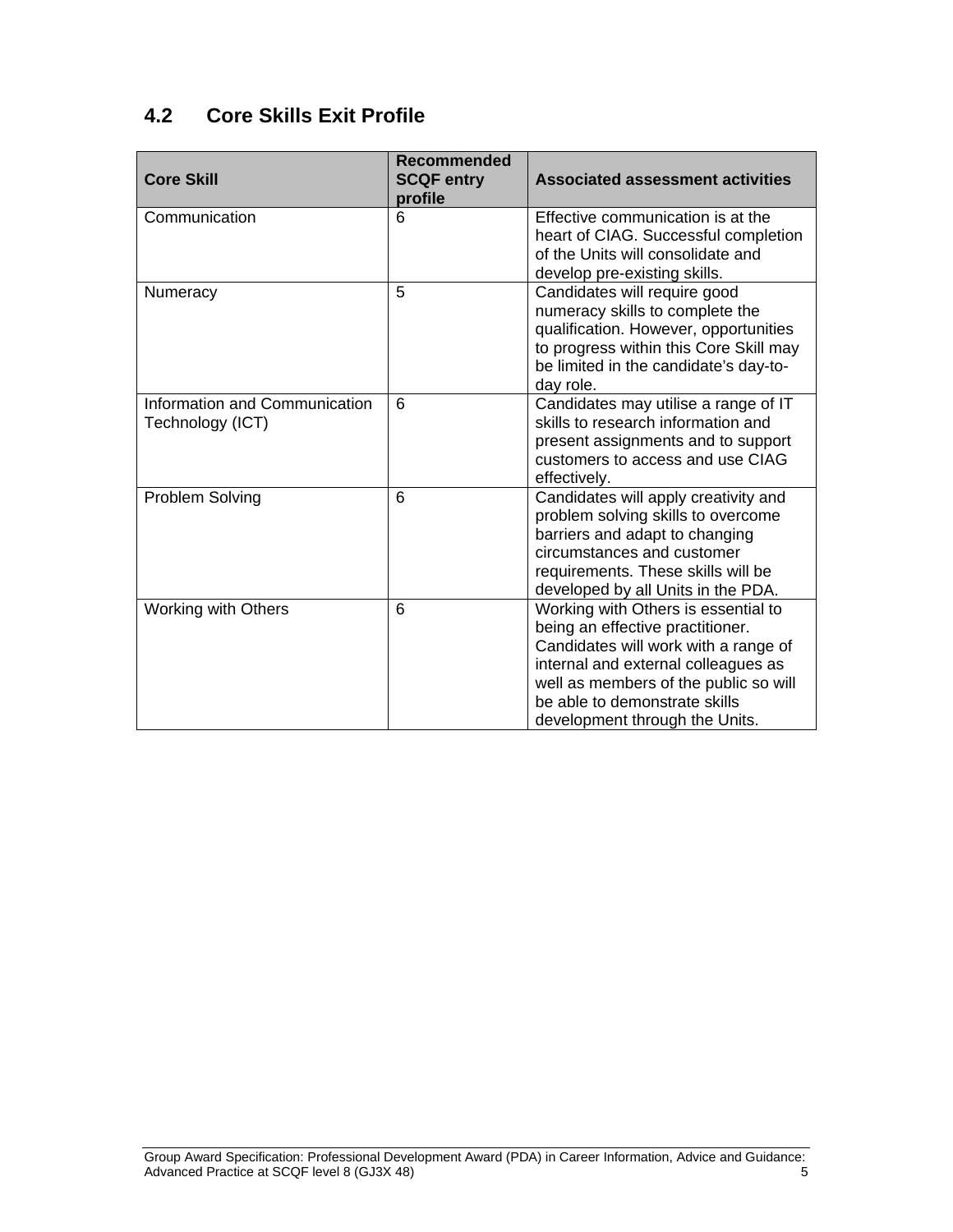## **4.2 Core Skills Exit Profile**

| <b>Core Skill</b>                                 | <b>Recommended</b><br><b>SCQF entry</b><br>profile | <b>Associated assessment activities</b>                                                                                                                                                                                                                            |
|---------------------------------------------------|----------------------------------------------------|--------------------------------------------------------------------------------------------------------------------------------------------------------------------------------------------------------------------------------------------------------------------|
| Communication                                     | 6                                                  | Effective communication is at the<br>heart of CIAG. Successful completion<br>of the Units will consolidate and<br>develop pre-existing skills.                                                                                                                     |
| Numeracy                                          | 5                                                  | Candidates will require good<br>numeracy skills to complete the<br>qualification. However, opportunities<br>to progress within this Core Skill may<br>be limited in the candidate's day-to-<br>day role.                                                           |
| Information and Communication<br>Technology (ICT) | 6                                                  | Candidates may utilise a range of IT<br>skills to research information and<br>present assignments and to support<br>customers to access and use CIAG<br>effectively.                                                                                               |
| Problem Solving                                   | 6                                                  | Candidates will apply creativity and<br>problem solving skills to overcome<br>barriers and adapt to changing<br>circumstances and customer<br>requirements. These skills will be<br>developed by all Units in the PDA.                                             |
| <b>Working with Others</b>                        | 6                                                  | Working with Others is essential to<br>being an effective practitioner.<br>Candidates will work with a range of<br>internal and external colleagues as<br>well as members of the public so will<br>be able to demonstrate skills<br>development through the Units. |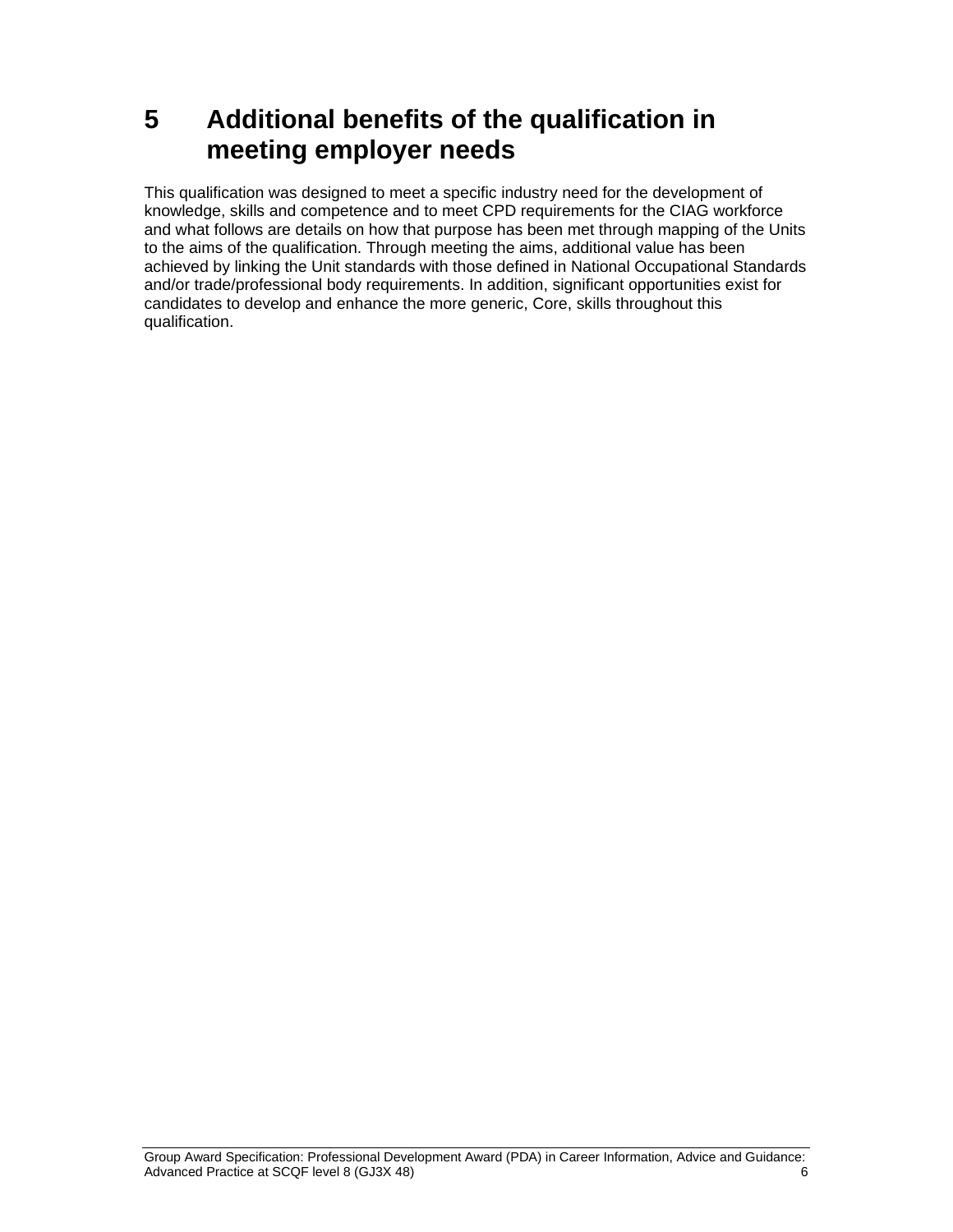# **5 Additional benefits of the qualification in meeting employer needs**

This qualification was designed to meet a specific industry need for the development of knowledge, skills and competence and to meet CPD requirements for the CIAG workforce and what follows are details on how that purpose has been met through mapping of the Units to the aims of the qualification. Through meeting the aims, additional value has been achieved by linking the Unit standards with those defined in National Occupational Standards and/or trade/professional body requirements. In addition, significant opportunities exist for candidates to develop and enhance the more generic, Core, skills throughout this qualification.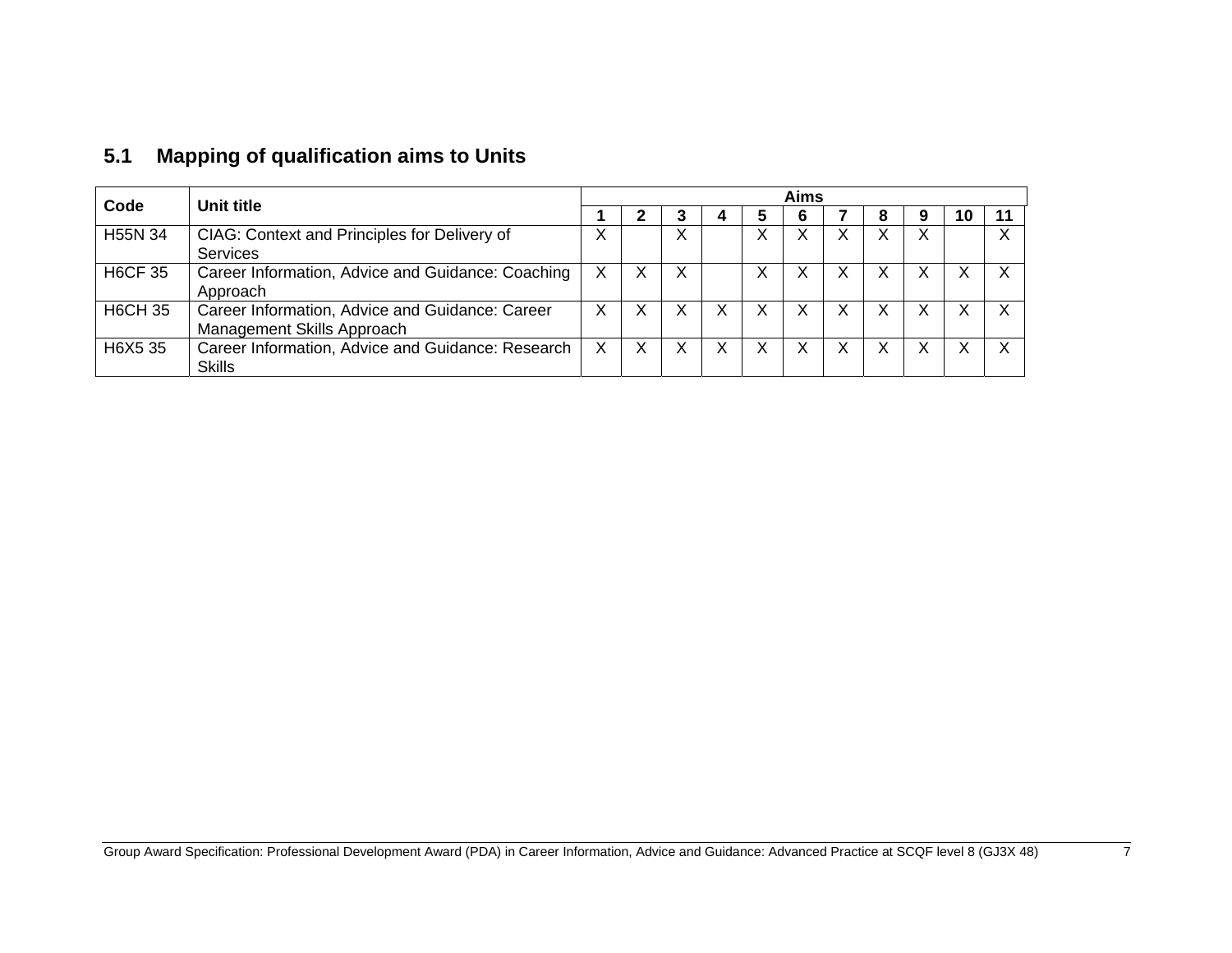| Code           | Unit title                                                                    |   | Aims |   |   |   |   |   |  |  |    |  |
|----------------|-------------------------------------------------------------------------------|---|------|---|---|---|---|---|--|--|----|--|
|                |                                                                               |   |      |   |   |   |   |   |  |  | ιu |  |
| H55N 34        | CIAG: Context and Principles for Delivery of<br><b>Services</b>               |   |      | ∧ |   |   |   |   |  |  |    |  |
| <b>H6CF 35</b> | Career Information, Advice and Guidance: Coaching<br>Approach                 |   | v    | х |   | X |   |   |  |  |    |  |
| <b>H6CH 35</b> | Career Information, Advice and Guidance: Career<br>Management Skills Approach | X | v    |   | Χ |   |   | X |  |  |    |  |
| H6X5 35        | Career Information, Advice and Guidance: Research<br>Skills                   |   | v    |   | Χ |   | ◡ | х |  |  |    |  |

## **5.1 Mapping of qualification aims to Units**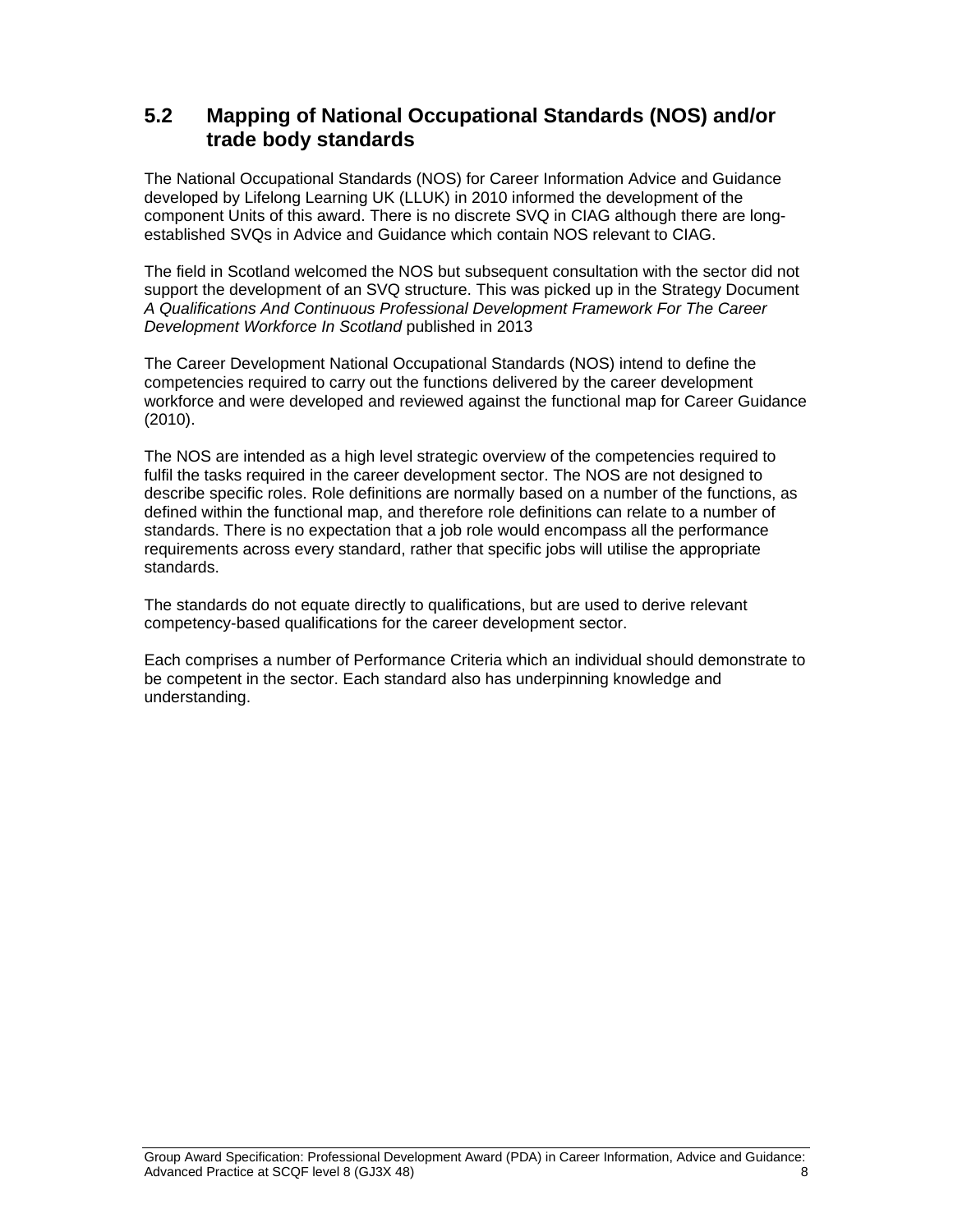#### **5.2 Mapping of National Occupational Standards (NOS) and/or trade body standards**

The National Occupational Standards (NOS) for Career Information Advice and Guidance developed by Lifelong Learning UK (LLUK) in 2010 informed the development of the component Units of this award. There is no discrete SVQ in CIAG although there are longestablished SVQs in Advice and Guidance which contain NOS relevant to CIAG.

The field in Scotland welcomed the NOS but subsequent consultation with the sector did not support the development of an SVQ structure. This was picked up in the Strategy Document *A Qualifications And Continuous Professional Development Framework For The Career Development Workforce In Scotland* published in 2013

The Career Development National Occupational Standards (NOS) intend to define the competencies required to carry out the functions delivered by the career development workforce and were developed and reviewed against the functional map for Career Guidance (2010).

The NOS are intended as a high level strategic overview of the competencies required to fulfil the tasks required in the career development sector. The NOS are not designed to describe specific roles. Role definitions are normally based on a number of the functions, as defined within the functional map, and therefore role definitions can relate to a number of standards. There is no expectation that a job role would encompass all the performance requirements across every standard, rather that specific jobs will utilise the appropriate standards.

The standards do not equate directly to qualifications, but are used to derive relevant competency-based qualifications for the career development sector.

Each comprises a number of Performance Criteria which an individual should demonstrate to be competent in the sector. Each standard also has underpinning knowledge and understanding.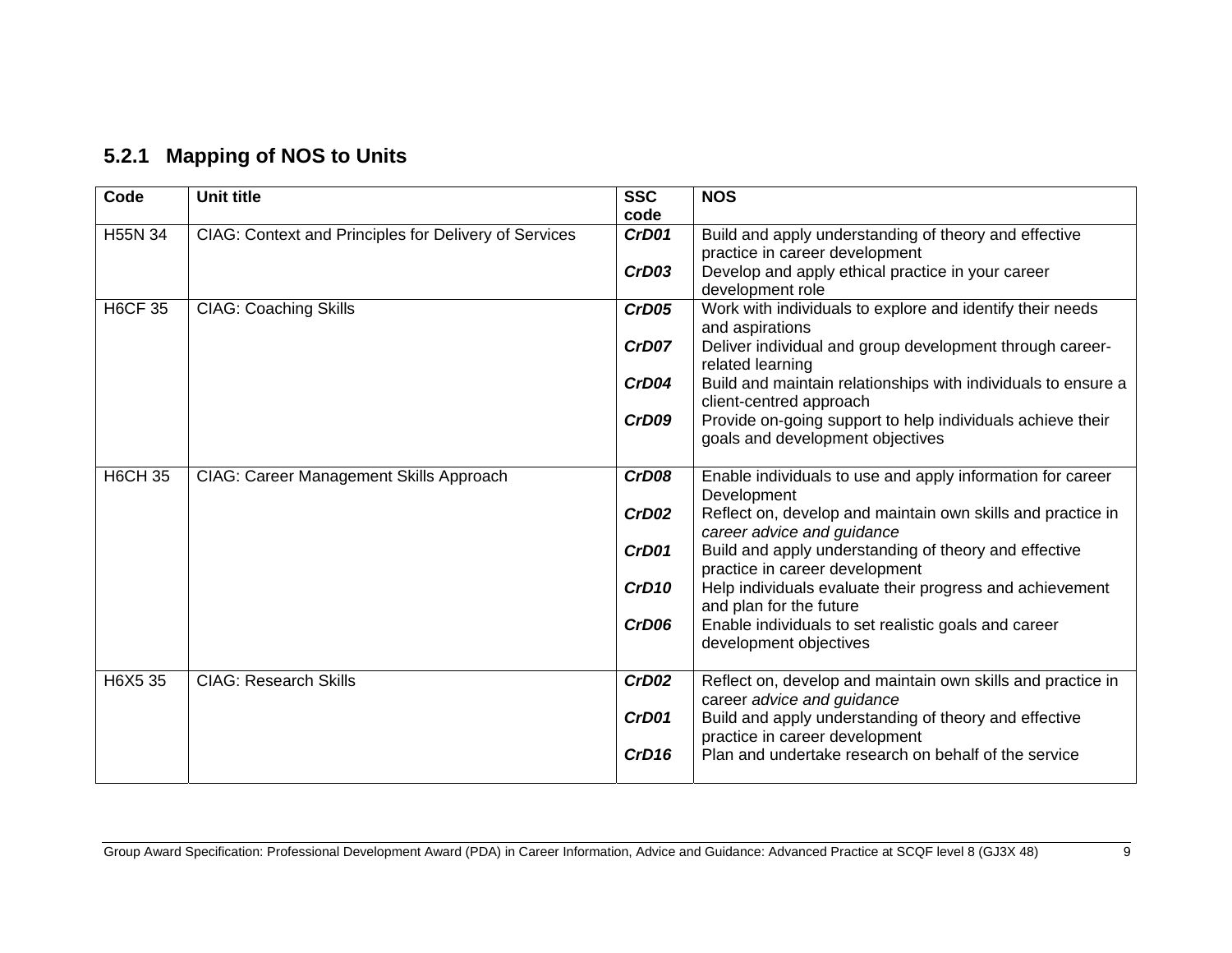| 5.2.1 Mapping of NOS to Units |  |  |  |  |
|-------------------------------|--|--|--|--|
|-------------------------------|--|--|--|--|

| Code           | <b>Unit title</b>                                     | <b>SSC</b><br>code | <b>NOS</b>                                                                                     |
|----------------|-------------------------------------------------------|--------------------|------------------------------------------------------------------------------------------------|
| H55N 34        | CIAG: Context and Principles for Delivery of Services | CrD01              | Build and apply understanding of theory and effective<br>practice in career development        |
|                |                                                       | CrD03              | Develop and apply ethical practice in your career<br>development role                          |
| <b>H6CF 35</b> | <b>CIAG: Coaching Skills</b>                          | CrD05              | Work with individuals to explore and identify their needs<br>and aspirations                   |
|                |                                                       | CrD07              | Deliver individual and group development through career-<br>related learning                   |
|                |                                                       | CrD04              | Build and maintain relationships with individuals to ensure a<br>client-centred approach       |
|                |                                                       | CrD09              | Provide on-going support to help individuals achieve their<br>goals and development objectives |
| <b>H6CH 35</b> | CIAG: Career Management Skills Approach               | CrD08              | Enable individuals to use and apply information for career<br>Development                      |
|                |                                                       | CrD02              | Reflect on, develop and maintain own skills and practice in<br>career advice and guidance      |
|                |                                                       | CrD01              | Build and apply understanding of theory and effective<br>practice in career development        |
|                |                                                       | CrD <sub>10</sub>  | Help individuals evaluate their progress and achievement<br>and plan for the future            |
|                |                                                       | CrD06              | Enable individuals to set realistic goals and career<br>development objectives                 |
| H6X5 35        | <b>CIAG: Research Skills</b>                          | CrD02              | Reflect on, develop and maintain own skills and practice in<br>career advice and guidance      |
|                |                                                       | CrD01              | Build and apply understanding of theory and effective<br>practice in career development        |
|                |                                                       | CrD <sub>16</sub>  | Plan and undertake research on behalf of the service                                           |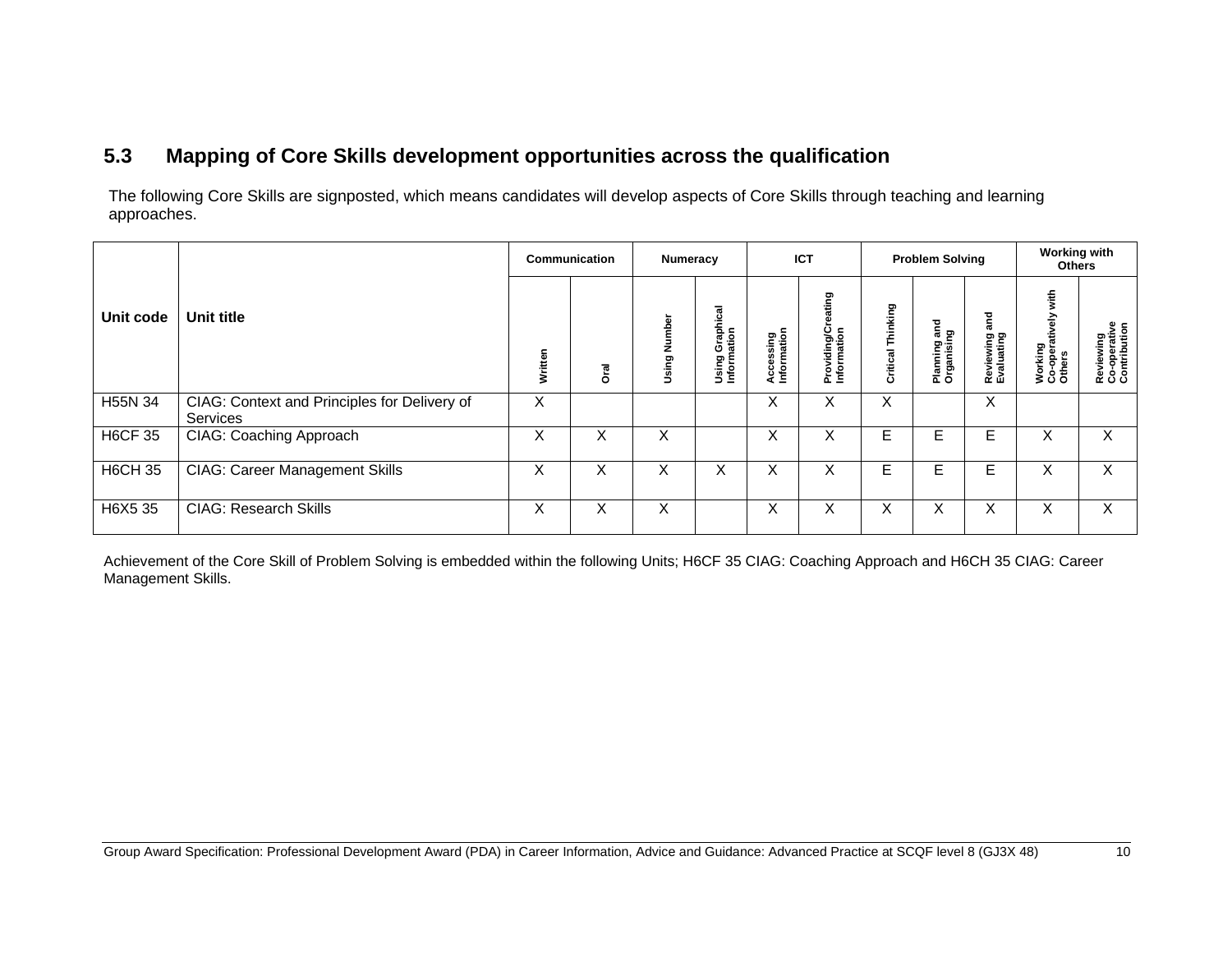### **5.3 Mapping of Core Skills development opportunities across the qualification**

The following Core Skills are signposted, which means candidates will develop aspects of Core Skills through teaching and learning approaches.

|                |                                                          |         | Communication | Numeracy                       |                                |                          | <b>ICT</b>                             |                      | <b>Problem Solving</b>          |                                | <b>Working with</b><br><b>Others</b>        |                                           |
|----------------|----------------------------------------------------------|---------|---------------|--------------------------------|--------------------------------|--------------------------|----------------------------------------|----------------------|---------------------------------|--------------------------------|---------------------------------------------|-------------------------------------------|
| Unit code      | Unit title                                               | Written | <b>Oral</b>   | mbel<br>E<br>z<br>ත<br>・読<br>Ë | Using Graphical<br>Information | Accessing<br>Information | eating<br>Providing/Cre<br>Information | Thinking<br>Critical | ខេ គ្ន<br>Planning<br>Organisin | and<br>Reviewing<br>Evaluating | with<br>Working<br>Co-operatively<br>Others | Reviewing<br>Co-operative<br>Contribution |
| H55N 34        | CIAG: Context and Principles for Delivery of<br>Services | X       |               |                                |                                | X                        | X                                      | X                    |                                 | X                              |                                             |                                           |
| <b>H6CF 35</b> | CIAG: Coaching Approach                                  | X       | X             | X                              |                                | X                        | X                                      | E.                   | Е                               | Е                              | X                                           | X                                         |
| <b>H6CH 35</b> | <b>CIAG: Career Management Skills</b>                    | ⋏       | X             | X                              | ⋏                              | X                        | X                                      | Е                    | Е                               | E                              | X                                           | X                                         |
| H6X5 35        | <b>CIAG: Research Skills</b>                             | ⌒       | X             | X                              |                                | X                        | X                                      | X                    | X                               | X                              | X                                           | X                                         |

Achievement of the Core Skill of Problem Solving is embedded within the following Units; H6CF 35 CIAG: Coaching Approach and H6CH 35 CIAG: Career Management Skills.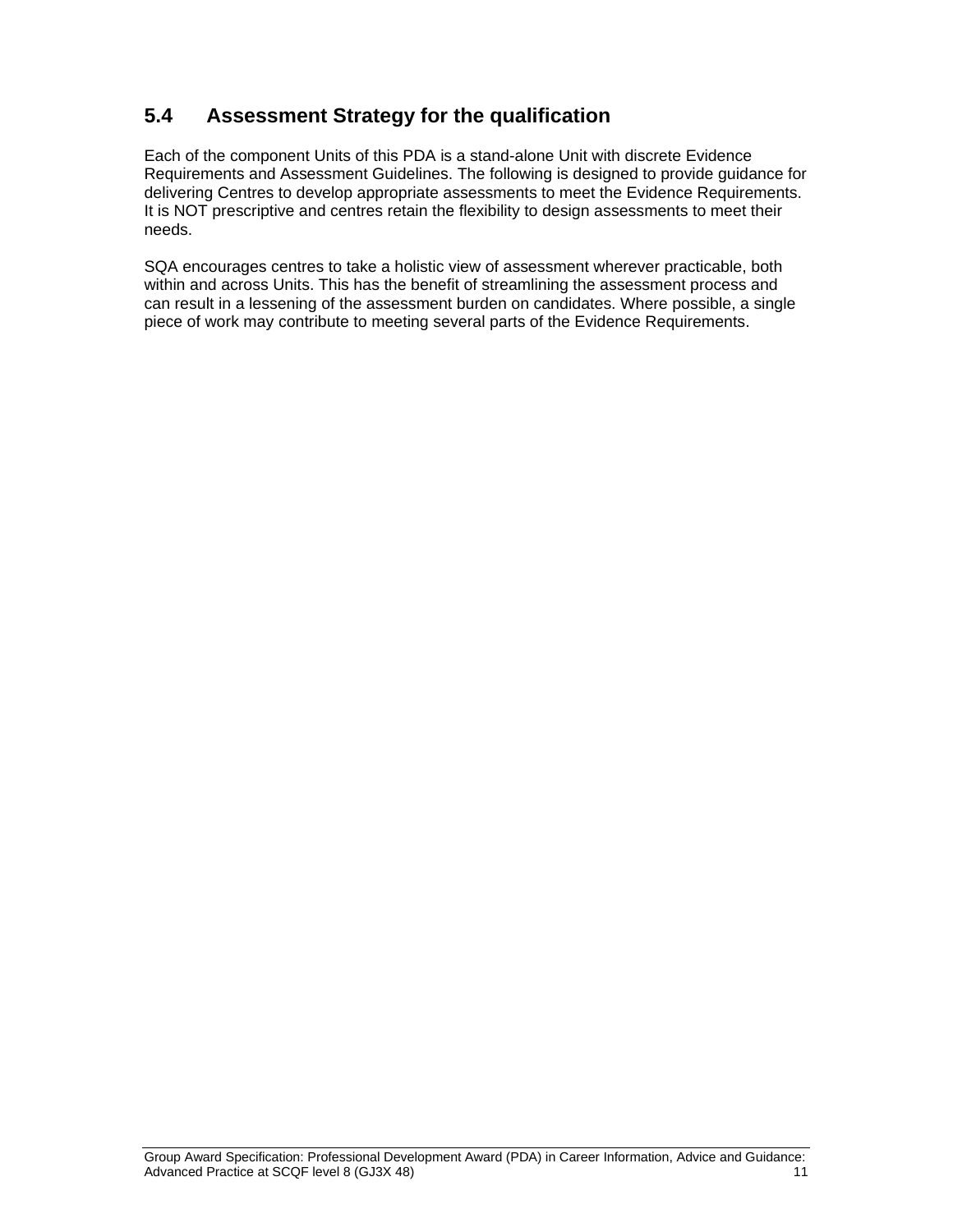### **5.4 Assessment Strategy for the qualification**

Each of the component Units of this PDA is a stand-alone Unit with discrete Evidence Requirements and Assessment Guidelines. The following is designed to provide guidance for delivering Centres to develop appropriate assessments to meet the Evidence Requirements. It is NOT prescriptive and centres retain the flexibility to design assessments to meet their needs.

SQA encourages centres to take a holistic view of assessment wherever practicable, both within and across Units. This has the benefit of streamlining the assessment process and can result in a lessening of the assessment burden on candidates. Where possible, a single piece of work may contribute to meeting several parts of the Evidence Requirements.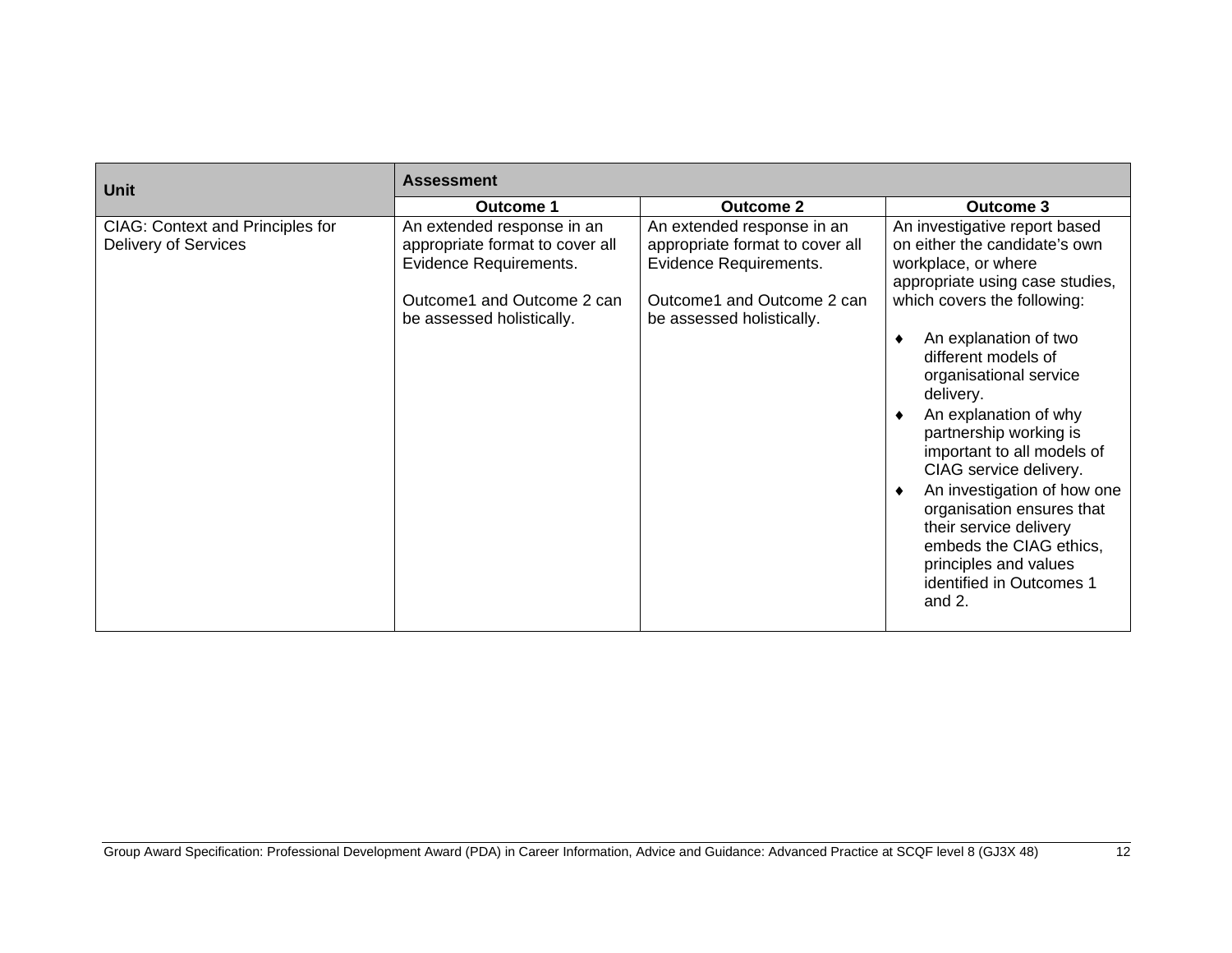| <b>Unit</b>                                                            | <b>Assessment</b>                                                                                                                                  |                                                                                                                                                    |                                                                                                                                                                                                                                                                                                                                                                                                                                                                                                                                              |  |  |  |  |  |  |
|------------------------------------------------------------------------|----------------------------------------------------------------------------------------------------------------------------------------------------|----------------------------------------------------------------------------------------------------------------------------------------------------|----------------------------------------------------------------------------------------------------------------------------------------------------------------------------------------------------------------------------------------------------------------------------------------------------------------------------------------------------------------------------------------------------------------------------------------------------------------------------------------------------------------------------------------------|--|--|--|--|--|--|
|                                                                        | <b>Outcome 1</b>                                                                                                                                   | <b>Outcome 3</b>                                                                                                                                   |                                                                                                                                                                                                                                                                                                                                                                                                                                                                                                                                              |  |  |  |  |  |  |
| <b>CIAG: Context and Principles for</b><br><b>Delivery of Services</b> | An extended response in an<br>appropriate format to cover all<br>Evidence Requirements.<br>Outcome1 and Outcome 2 can<br>be assessed holistically. | An extended response in an<br>appropriate format to cover all<br>Evidence Requirements.<br>Outcome1 and Outcome 2 can<br>be assessed holistically. | An investigative report based<br>on either the candidate's own<br>workplace, or where<br>appropriate using case studies,<br>which covers the following:<br>An explanation of two<br>different models of<br>organisational service<br>delivery.<br>An explanation of why<br>partnership working is<br>important to all models of<br>CIAG service delivery.<br>An investigation of how one<br>organisation ensures that<br>their service delivery<br>embeds the CIAG ethics,<br>principles and values<br>identified in Outcomes 1<br>and $2$ . |  |  |  |  |  |  |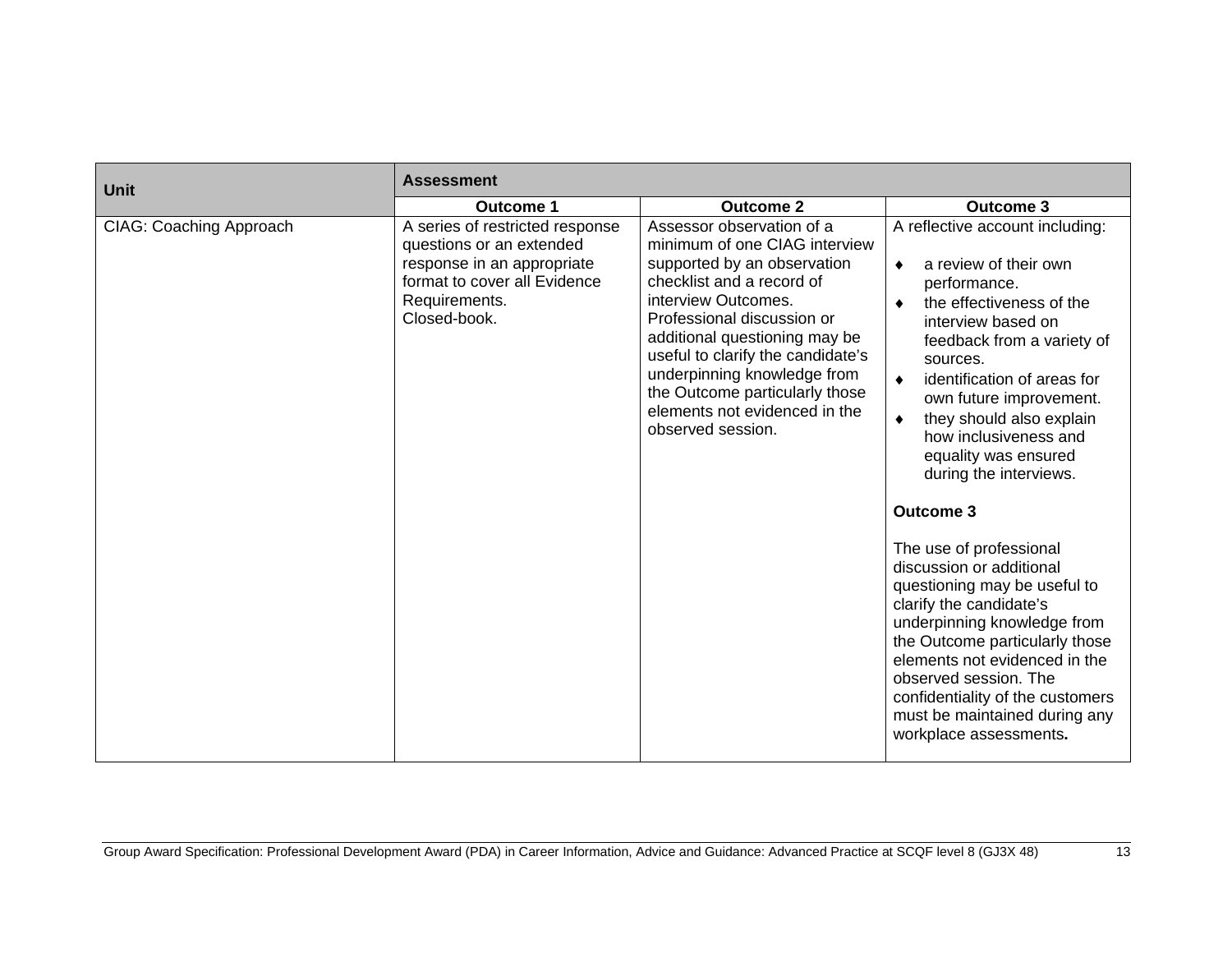| Unit                           | <b>Assessment</b>                                                                                                                                          |                                                                                                                                                                                                                                                                                                                                                                          |                                                                                                                                                                                                                                                                                                                                                                                                                                                                                                                                                                                                                                                                                                                                              |  |  |  |  |  |
|--------------------------------|------------------------------------------------------------------------------------------------------------------------------------------------------------|--------------------------------------------------------------------------------------------------------------------------------------------------------------------------------------------------------------------------------------------------------------------------------------------------------------------------------------------------------------------------|----------------------------------------------------------------------------------------------------------------------------------------------------------------------------------------------------------------------------------------------------------------------------------------------------------------------------------------------------------------------------------------------------------------------------------------------------------------------------------------------------------------------------------------------------------------------------------------------------------------------------------------------------------------------------------------------------------------------------------------------|--|--|--|--|--|
|                                | <b>Outcome 1</b>                                                                                                                                           | <b>Outcome 2</b>                                                                                                                                                                                                                                                                                                                                                         | <b>Outcome 3</b>                                                                                                                                                                                                                                                                                                                                                                                                                                                                                                                                                                                                                                                                                                                             |  |  |  |  |  |
| <b>CIAG: Coaching Approach</b> | A series of restricted response<br>questions or an extended<br>response in an appropriate<br>format to cover all Evidence<br>Requirements.<br>Closed-book. | Assessor observation of a<br>minimum of one CIAG interview<br>supported by an observation<br>checklist and a record of<br>interview Outcomes.<br>Professional discussion or<br>additional questioning may be<br>useful to clarify the candidate's<br>underpinning knowledge from<br>the Outcome particularly those<br>elements not evidenced in the<br>observed session. | A reflective account including:<br>a review of their own<br>$\bullet$<br>performance.<br>the effectiveness of the<br>interview based on<br>feedback from a variety of<br>sources.<br>identification of areas for<br>$\bullet$<br>own future improvement.<br>they should also explain<br>$\bullet$<br>how inclusiveness and<br>equality was ensured<br>during the interviews.<br><b>Outcome 3</b><br>The use of professional<br>discussion or additional<br>questioning may be useful to<br>clarify the candidate's<br>underpinning knowledge from<br>the Outcome particularly those<br>elements not evidenced in the<br>observed session. The<br>confidentiality of the customers<br>must be maintained during any<br>workplace assessments. |  |  |  |  |  |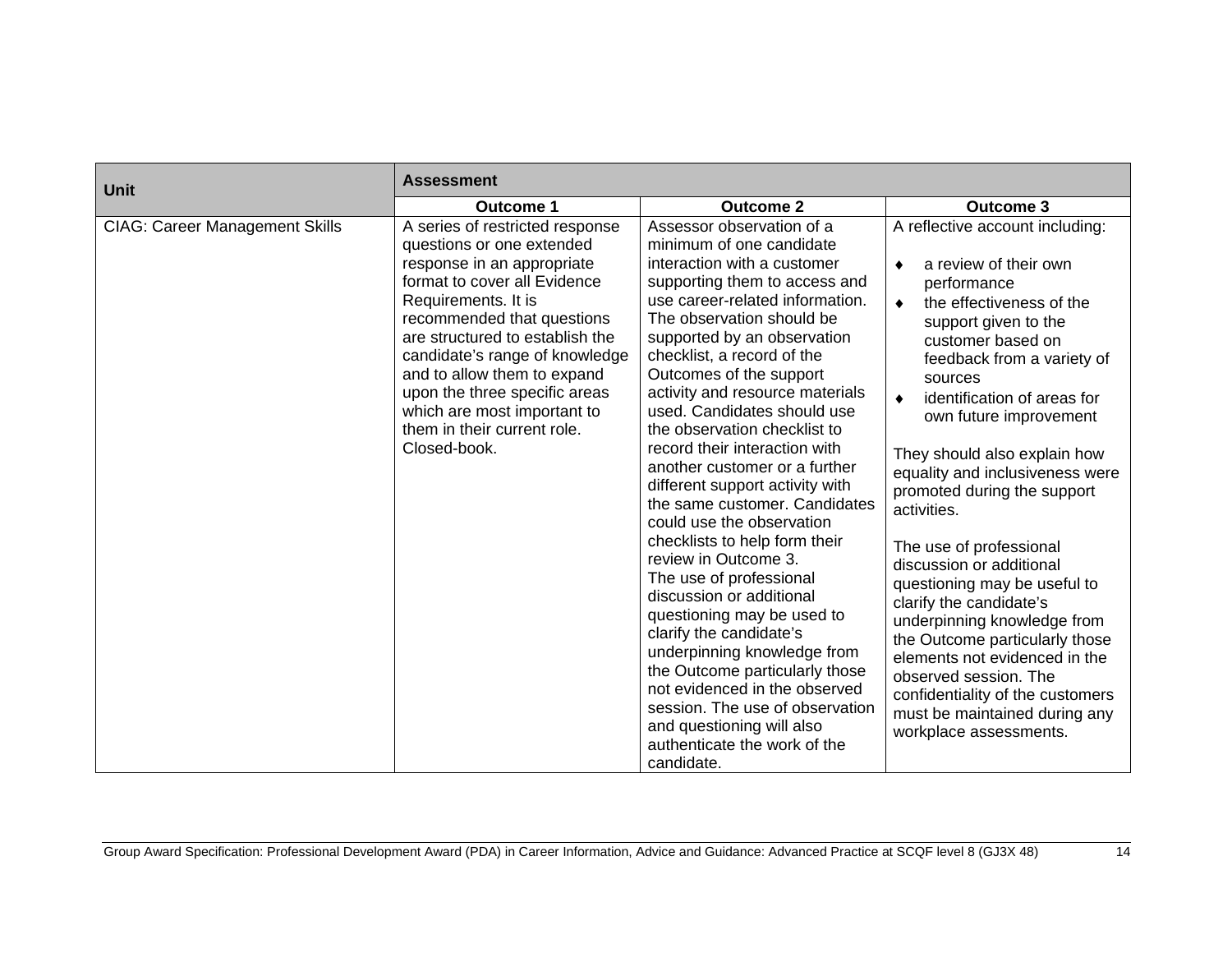| Unit                                  | <b>Assessment</b>                                                                                                                                                                                                                                                                                                                                                                                  |                                                                                                                                                                                                                                                                                                                                                                                                                                                                                                                                                                                                                                                                                                                                                                                                                                                                                                                                             |                                                                                                                                                                                                                                                                                                                                                                                                                                                                                                                                                                                                                                                                                                                                           |  |  |  |  |
|---------------------------------------|----------------------------------------------------------------------------------------------------------------------------------------------------------------------------------------------------------------------------------------------------------------------------------------------------------------------------------------------------------------------------------------------------|---------------------------------------------------------------------------------------------------------------------------------------------------------------------------------------------------------------------------------------------------------------------------------------------------------------------------------------------------------------------------------------------------------------------------------------------------------------------------------------------------------------------------------------------------------------------------------------------------------------------------------------------------------------------------------------------------------------------------------------------------------------------------------------------------------------------------------------------------------------------------------------------------------------------------------------------|-------------------------------------------------------------------------------------------------------------------------------------------------------------------------------------------------------------------------------------------------------------------------------------------------------------------------------------------------------------------------------------------------------------------------------------------------------------------------------------------------------------------------------------------------------------------------------------------------------------------------------------------------------------------------------------------------------------------------------------------|--|--|--|--|
|                                       | <b>Outcome 1</b>                                                                                                                                                                                                                                                                                                                                                                                   | <b>Outcome 2</b>                                                                                                                                                                                                                                                                                                                                                                                                                                                                                                                                                                                                                                                                                                                                                                                                                                                                                                                            | <b>Outcome 3</b>                                                                                                                                                                                                                                                                                                                                                                                                                                                                                                                                                                                                                                                                                                                          |  |  |  |  |
| <b>CIAG: Career Management Skills</b> | A series of restricted response<br>questions or one extended<br>response in an appropriate<br>format to cover all Evidence<br>Requirements. It is<br>recommended that questions<br>are structured to establish the<br>candidate's range of knowledge<br>and to allow them to expand<br>upon the three specific areas<br>which are most important to<br>them in their current role.<br>Closed-book. | Assessor observation of a<br>minimum of one candidate<br>interaction with a customer<br>supporting them to access and<br>use career-related information.<br>The observation should be<br>supported by an observation<br>checklist, a record of the<br>Outcomes of the support<br>activity and resource materials<br>used. Candidates should use<br>the observation checklist to<br>record their interaction with<br>another customer or a further<br>different support activity with<br>the same customer. Candidates<br>could use the observation<br>checklists to help form their<br>review in Outcome 3.<br>The use of professional<br>discussion or additional<br>questioning may be used to<br>clarify the candidate's<br>underpinning knowledge from<br>the Outcome particularly those<br>not evidenced in the observed<br>session. The use of observation<br>and questioning will also<br>authenticate the work of the<br>candidate. | A reflective account including:<br>a review of their own<br>performance<br>the effectiveness of the<br>$\bullet$<br>support given to the<br>customer based on<br>feedback from a variety of<br>sources<br>identification of areas for<br>$\bullet$<br>own future improvement<br>They should also explain how<br>equality and inclusiveness were<br>promoted during the support<br>activities.<br>The use of professional<br>discussion or additional<br>questioning may be useful to<br>clarify the candidate's<br>underpinning knowledge from<br>the Outcome particularly those<br>elements not evidenced in the<br>observed session. The<br>confidentiality of the customers<br>must be maintained during any<br>workplace assessments. |  |  |  |  |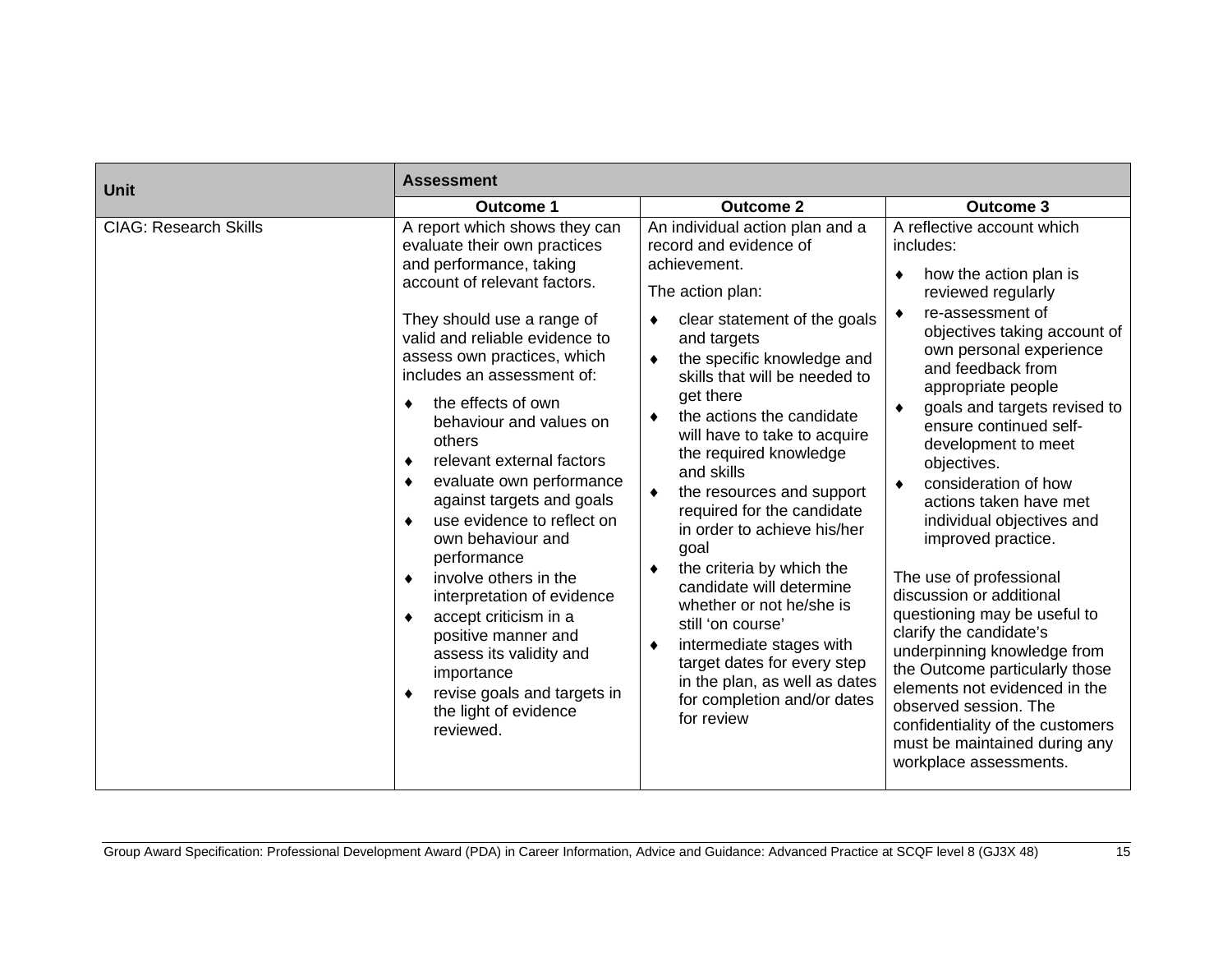| Unit                         | <b>Assessment</b>                                                                                                                                                                                                                                                                                                                                                                                                                                                                                                                                                                                                                                                                                                                                        |                                                                                                                                                                                                                                                                                                                                                                                                                                                                                                                                                                                                                                                                                              |                                                                                                                                                                                                                                                                                                                                                                                                                                                                                                                                                                                                                                                                                                                                                                                                |  |  |  |  |  |
|------------------------------|----------------------------------------------------------------------------------------------------------------------------------------------------------------------------------------------------------------------------------------------------------------------------------------------------------------------------------------------------------------------------------------------------------------------------------------------------------------------------------------------------------------------------------------------------------------------------------------------------------------------------------------------------------------------------------------------------------------------------------------------------------|----------------------------------------------------------------------------------------------------------------------------------------------------------------------------------------------------------------------------------------------------------------------------------------------------------------------------------------------------------------------------------------------------------------------------------------------------------------------------------------------------------------------------------------------------------------------------------------------------------------------------------------------------------------------------------------------|------------------------------------------------------------------------------------------------------------------------------------------------------------------------------------------------------------------------------------------------------------------------------------------------------------------------------------------------------------------------------------------------------------------------------------------------------------------------------------------------------------------------------------------------------------------------------------------------------------------------------------------------------------------------------------------------------------------------------------------------------------------------------------------------|--|--|--|--|--|
|                              | <b>Outcome 1</b>                                                                                                                                                                                                                                                                                                                                                                                                                                                                                                                                                                                                                                                                                                                                         | <b>Outcome 2</b>                                                                                                                                                                                                                                                                                                                                                                                                                                                                                                                                                                                                                                                                             | <b>Outcome 3</b>                                                                                                                                                                                                                                                                                                                                                                                                                                                                                                                                                                                                                                                                                                                                                                               |  |  |  |  |  |
| <b>CIAG: Research Skills</b> | A report which shows they can<br>evaluate their own practices<br>and performance, taking<br>account of relevant factors.<br>They should use a range of<br>valid and reliable evidence to<br>assess own practices, which<br>includes an assessment of:<br>the effects of own<br>٠<br>behaviour and values on<br>others<br>relevant external factors<br>٠<br>evaluate own performance<br>$\bullet$<br>against targets and goals<br>use evidence to reflect on<br>٠<br>own behaviour and<br>performance<br>involve others in the<br>٠<br>interpretation of evidence<br>accept criticism in a<br>$\bullet$<br>positive manner and<br>assess its validity and<br>importance<br>revise goals and targets in<br>$\bullet$<br>the light of evidence<br>reviewed. | An individual action plan and a<br>record and evidence of<br>achievement.<br>The action plan:<br>clear statement of the goals<br>and targets<br>the specific knowledge and<br>٠<br>skills that will be needed to<br>get there<br>the actions the candidate<br>will have to take to acquire<br>the required knowledge<br>and skills<br>the resources and support<br>٠<br>required for the candidate<br>in order to achieve his/her<br>goal<br>the criteria by which the<br>candidate will determine<br>whether or not he/she is<br>still 'on course'<br>intermediate stages with<br>target dates for every step<br>in the plan, as well as dates<br>for completion and/or dates<br>for review | A reflective account which<br>includes:<br>how the action plan is<br>٠<br>reviewed regularly<br>re-assessment of<br>٠<br>objectives taking account of<br>own personal experience<br>and feedback from<br>appropriate people<br>goals and targets revised to<br>٠<br>ensure continued self-<br>development to meet<br>objectives.<br>consideration of how<br>$\bullet$<br>actions taken have met<br>individual objectives and<br>improved practice.<br>The use of professional<br>discussion or additional<br>questioning may be useful to<br>clarify the candidate's<br>underpinning knowledge from<br>the Outcome particularly those<br>elements not evidenced in the<br>observed session. The<br>confidentiality of the customers<br>must be maintained during any<br>workplace assessments. |  |  |  |  |  |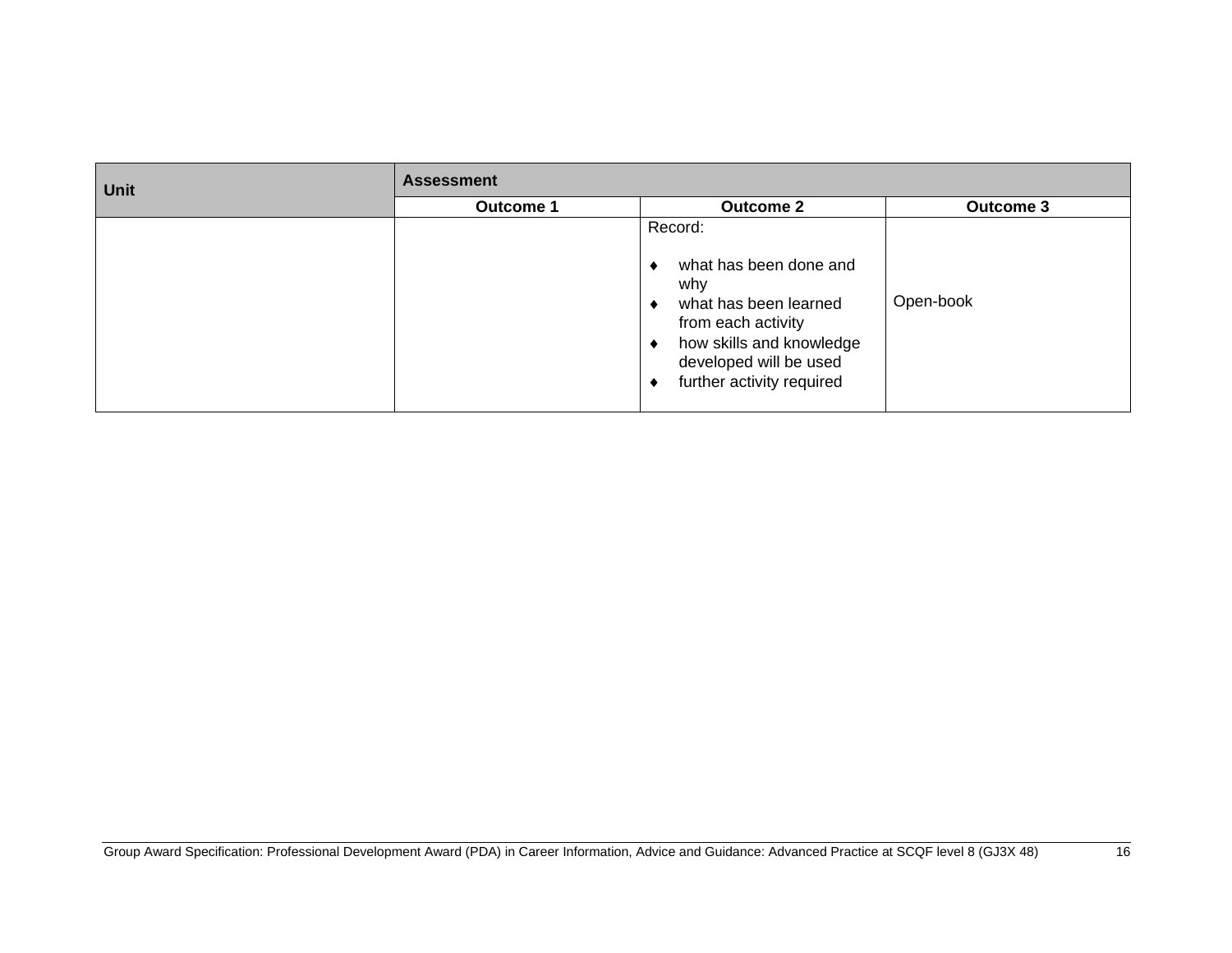| <b>Unit</b> | <b>Assessment</b> |                                                                                                                                                                                           |                  |  |
|-------------|-------------------|-------------------------------------------------------------------------------------------------------------------------------------------------------------------------------------------|------------------|--|
|             | <b>Outcome 1</b>  | <b>Outcome 2</b>                                                                                                                                                                          | <b>Outcome 3</b> |  |
|             |                   | Record:<br>what has been done and<br>why<br>what has been learned<br>۰<br>from each activity<br>how skills and knowledge<br>٠<br>developed will be used<br>further activity required<br>٠ | Open-book        |  |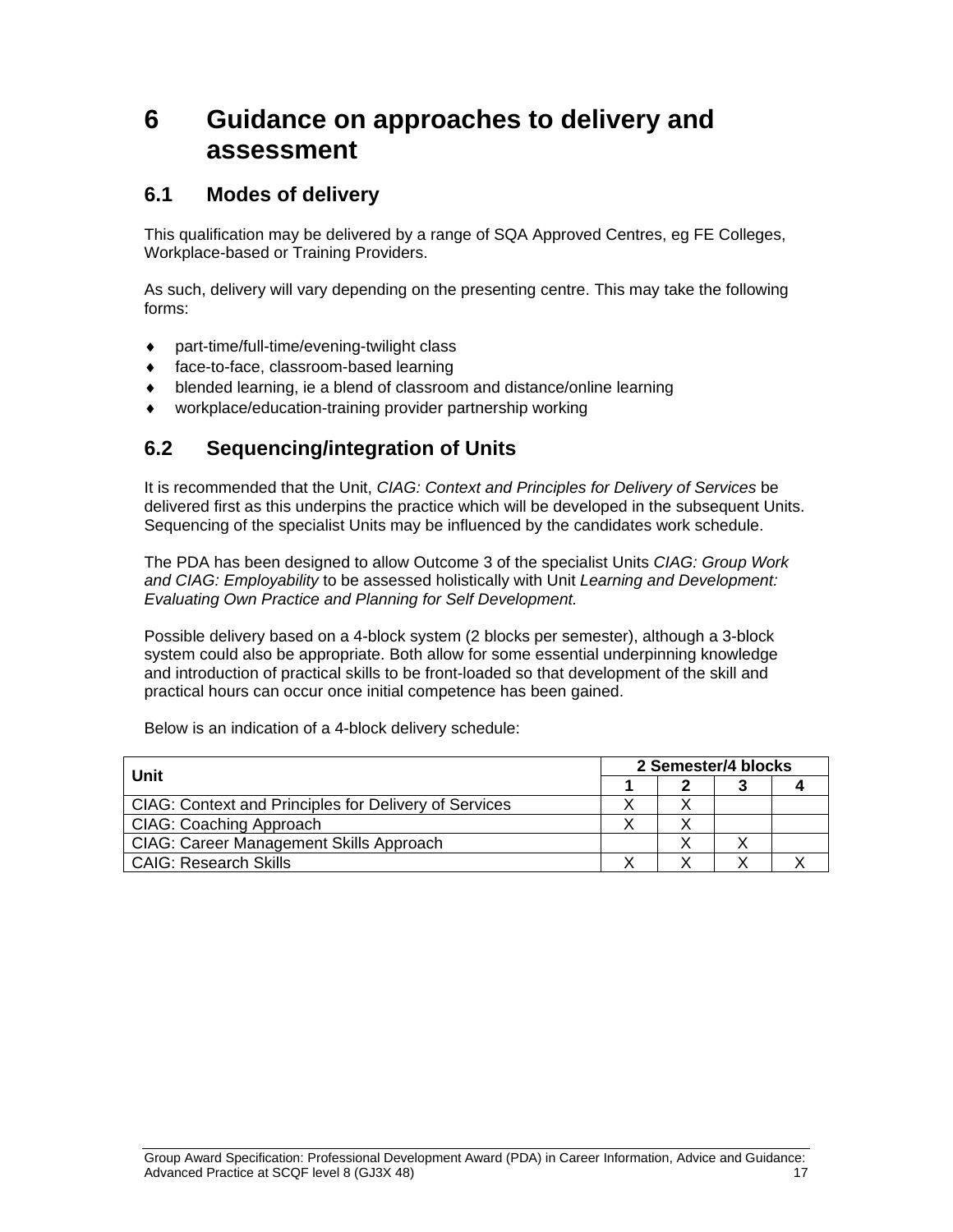# **6 Guidance on approaches to delivery and assessment**

#### **6.1 Modes of delivery**

This qualification may be delivered by a range of SQA Approved Centres, eg FE Colleges, Workplace-based or Training Providers.

As such, delivery will vary depending on the presenting centre. This may take the following forms:

- part-time/full-time/evening-twilight class
- ◆ face-to-face, classroom-based learning
- blended learning, ie a blend of classroom and distance/online learning
- workplace/education-training provider partnership working

### **6.2 Sequencing/integration of Units**

It is recommended that the Unit, *CIAG: Context and Principles for Delivery of Services* be delivered first as this underpins the practice which will be developed in the subsequent Units. Sequencing of the specialist Units may be influenced by the candidates work schedule.

The PDA has been designed to allow Outcome 3 of the specialist Units *CIAG: Group Work and CIAG: Employability* to be assessed holistically with Unit *Learning and Development: Evaluating Own Practice and Planning for Self Development.*

Possible delivery based on a 4-block system (2 blocks per semester), although a 3-block system could also be appropriate. Both allow for some essential underpinning knowledge and introduction of practical skills to be front-loaded so that development of the skill and practical hours can occur once initial competence has been gained.

| Unit                                                         | 2 Semester/4 blocks |  |  |  |
|--------------------------------------------------------------|---------------------|--|--|--|
|                                                              |                     |  |  |  |
| <b>CIAG: Context and Principles for Delivery of Services</b> |                     |  |  |  |
| CIAG: Coaching Approach                                      |                     |  |  |  |
| <b>CIAG: Career Management Skills Approach</b>               |                     |  |  |  |
| <b>CAIG: Research Skills</b>                                 |                     |  |  |  |

Below is an indication of a 4-block delivery schedule: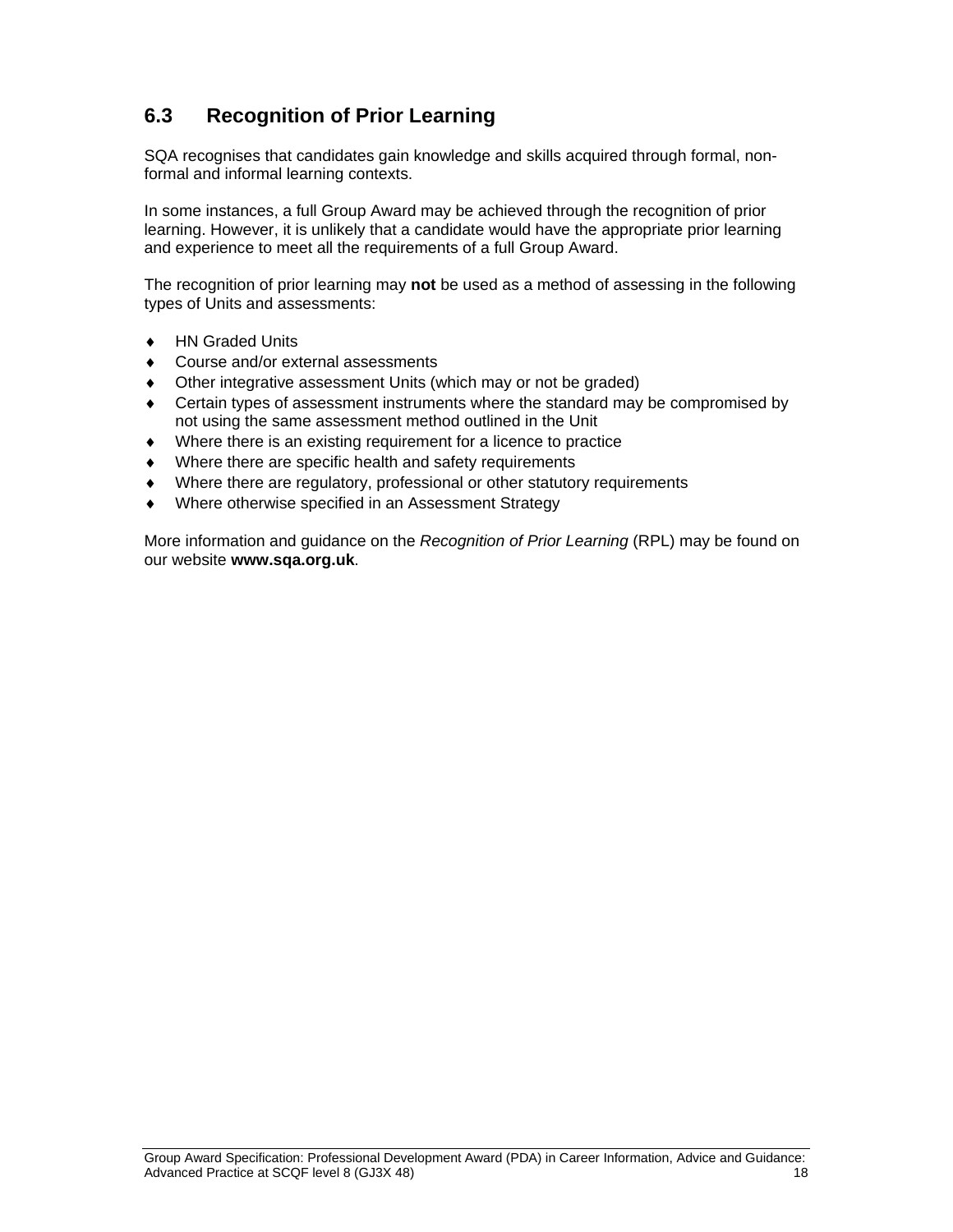### **6.3 Recognition of Prior Learning**

SQA recognises that candidates gain knowledge and skills acquired through formal, nonformal and informal learning contexts.

In some instances, a full Group Award may be achieved through the recognition of prior learning. However, it is unlikely that a candidate would have the appropriate prior learning and experience to meet all the requirements of a full Group Award.

The recognition of prior learning may **not** be used as a method of assessing in the following types of Units and assessments:

- ◆ HN Graded Units
- ◆ Course and/or external assessments
- Other integrative assessment Units (which may or not be graded)
- Certain types of assessment instruments where the standard may be compromised by not using the same assessment method outlined in the Unit
- Where there is an existing requirement for a licence to practice
- Where there are specific health and safety requirements
- Where there are regulatory, professional or other statutory requirements
- Where otherwise specified in an Assessment Strategy

More information and guidance on the *Recognition of Prior Learning* (RPL) may be found on our website **www.sqa.org.uk**.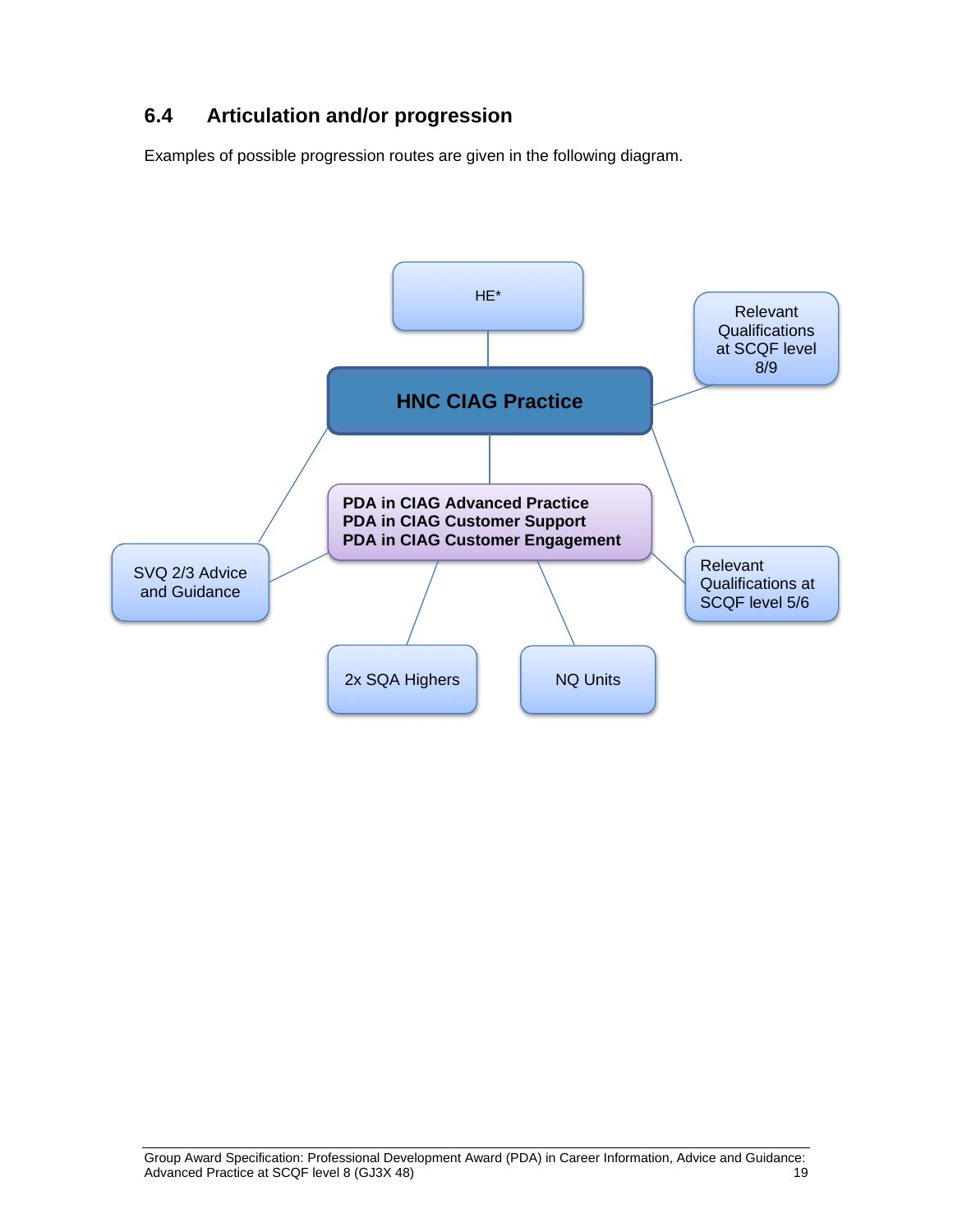## **6.4 Articulation and/or progression**

Examples of possible progression routes are given in the following diagram.

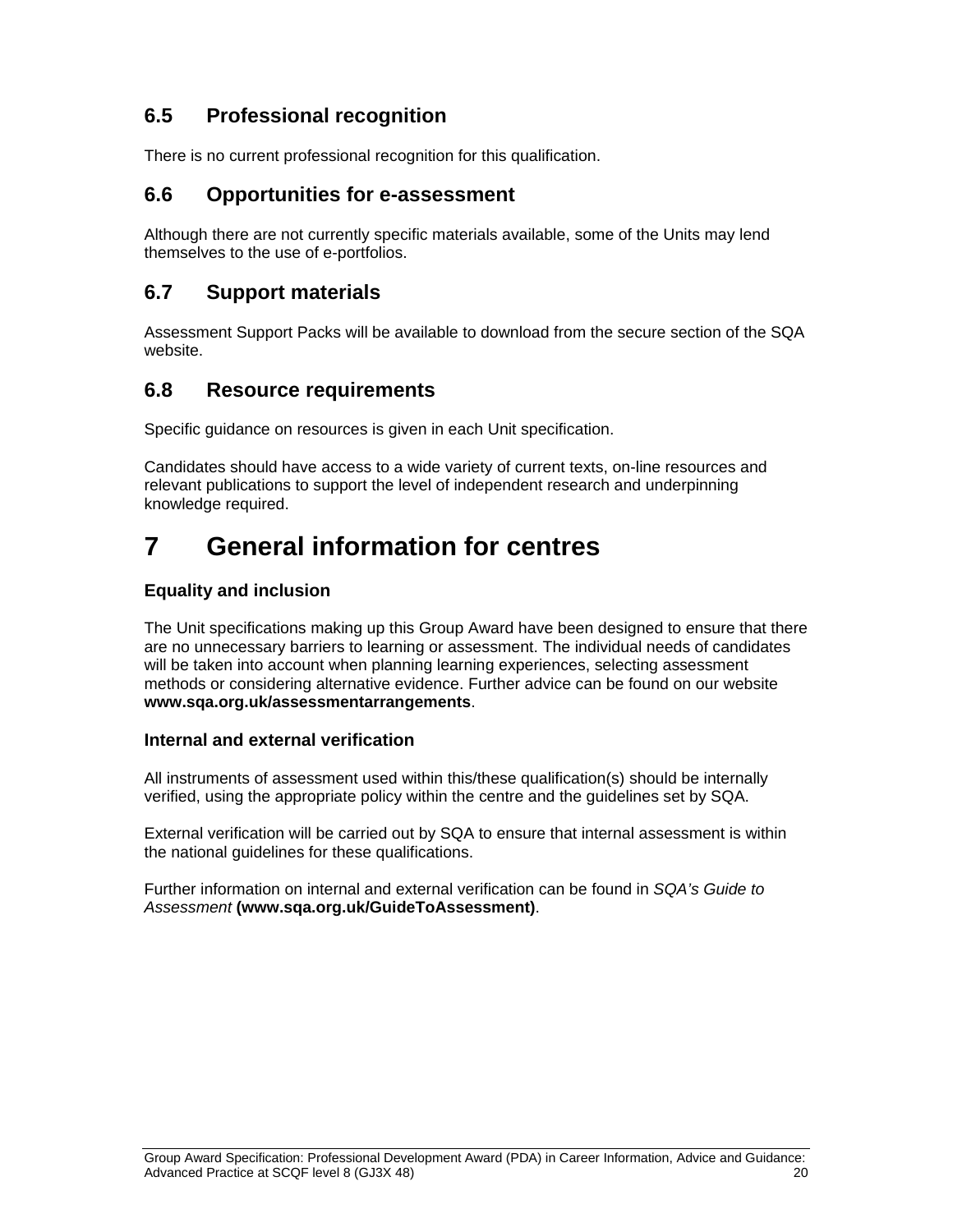### **6.5 Professional recognition**

There is no current professional recognition for this qualification.

#### **6.6 Opportunities for e-assessment**

Although there are not currently specific materials available, some of the Units may lend themselves to the use of e-portfolios.

#### **6.7 Support materials**

Assessment Support Packs will be available to download from the secure section of the SQA website.

#### **6.8 Resource requirements**

Specific guidance on resources is given in each Unit specification.

Candidates should have access to a wide variety of current texts, on-line resources and relevant publications to support the level of independent research and underpinning knowledge required.

# **7 General information for centres**

#### **Equality and inclusion**

The Unit specifications making up this Group Award have been designed to ensure that there are no unnecessary barriers to learning or assessment. The individual needs of candidates will be taken into account when planning learning experiences, selecting assessment methods or considering alternative evidence. Further advice can be found on our website **www.sqa.org.uk/assessmentarrangements**.

#### **Internal and external verification**

All instruments of assessment used within this/these qualification(s) should be internally verified, using the appropriate policy within the centre and the guidelines set by SQA.

External verification will be carried out by SQA to ensure that internal assessment is within the national guidelines for these qualifications.

Further information on internal and external verification can be found in *SQA's Guide to Assessment* **(www.sqa.org.uk/GuideToAssessment)**.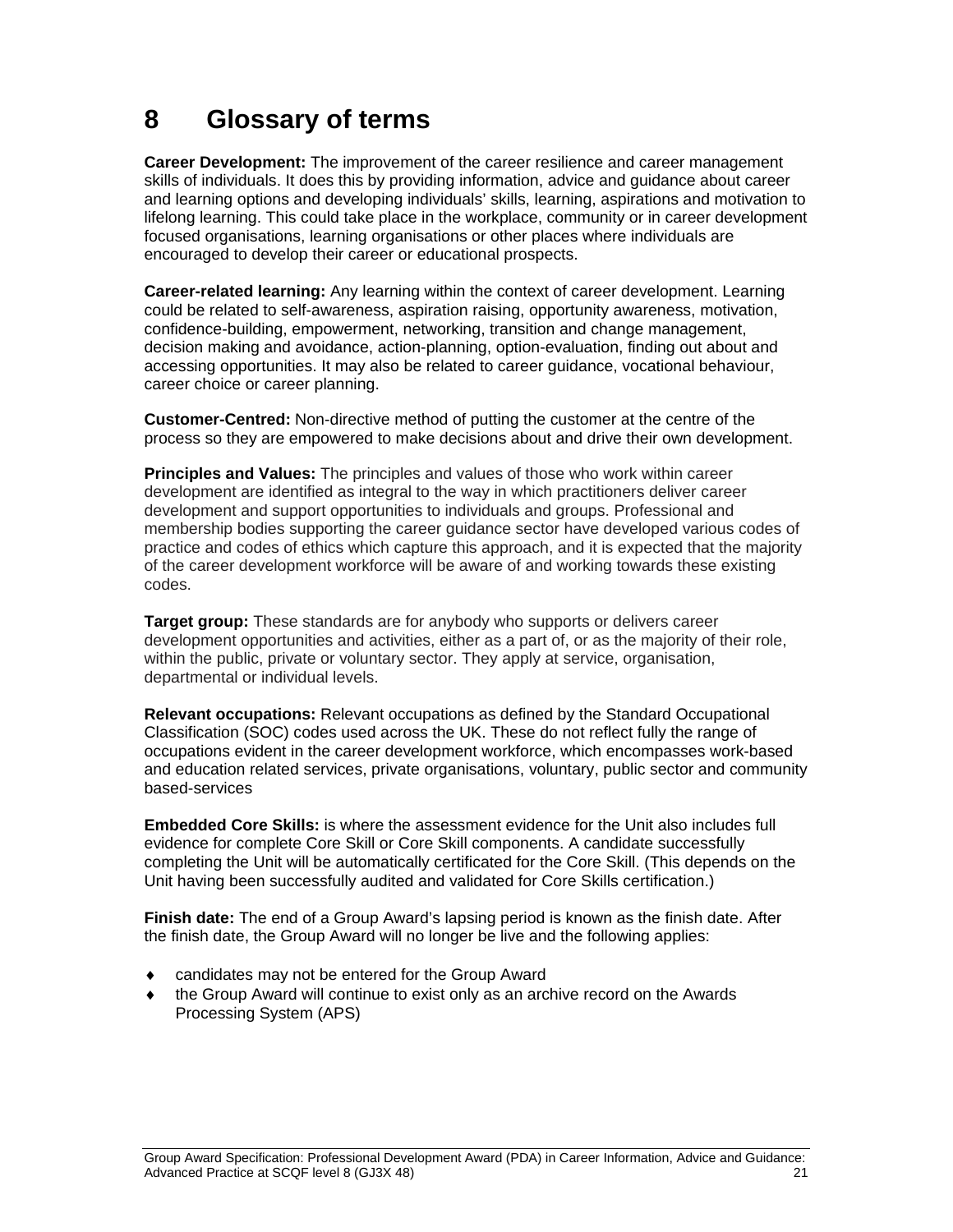# **8 Glossary of terms**

**Career Development:** The improvement of the career resilience and career management skills of individuals. It does this by providing information, advice and guidance about career and learning options and developing individuals' skills, learning, aspirations and motivation to lifelong learning. This could take place in the workplace, community or in career development focused organisations, learning organisations or other places where individuals are encouraged to develop their career or educational prospects.

**Career-related learning:** Any learning within the context of career development. Learning could be related to self-awareness, aspiration raising, opportunity awareness, motivation, confidence-building, empowerment, networking, transition and change management, decision making and avoidance, action-planning, option-evaluation, finding out about and accessing opportunities. It may also be related to career guidance, vocational behaviour, career choice or career planning.

**Customer-Centred:** Non-directive method of putting the customer at the centre of the process so they are empowered to make decisions about and drive their own development.

**Principles and Values:** The principles and values of those who work within career development are identified as integral to the way in which practitioners deliver career development and support opportunities to individuals and groups. Professional and membership bodies supporting the career guidance sector have developed various codes of practice and codes of ethics which capture this approach, and it is expected that the majority of the career development workforce will be aware of and working towards these existing codes.

**Target group:** These standards are for anybody who supports or delivers career development opportunities and activities, either as a part of, or as the majority of their role, within the public, private or voluntary sector. They apply at service, organisation, departmental or individual levels.

**Relevant occupations:** Relevant occupations as defined by the Standard Occupational Classification (SOC) codes used across the UK. These do not reflect fully the range of occupations evident in the career development workforce, which encompasses work-based and education related services, private organisations, voluntary, public sector and community based-services

**Embedded Core Skills:** is where the assessment evidence for the Unit also includes full evidence for complete Core Skill or Core Skill components. A candidate successfully completing the Unit will be automatically certificated for the Core Skill. (This depends on the Unit having been successfully audited and validated for Core Skills certification.)

**Finish date:** The end of a Group Award's lapsing period is known as the finish date. After the finish date, the Group Award will no longer be live and the following applies:

- candidates may not be entered for the Group Award
- the Group Award will continue to exist only as an archive record on the Awards Processing System (APS)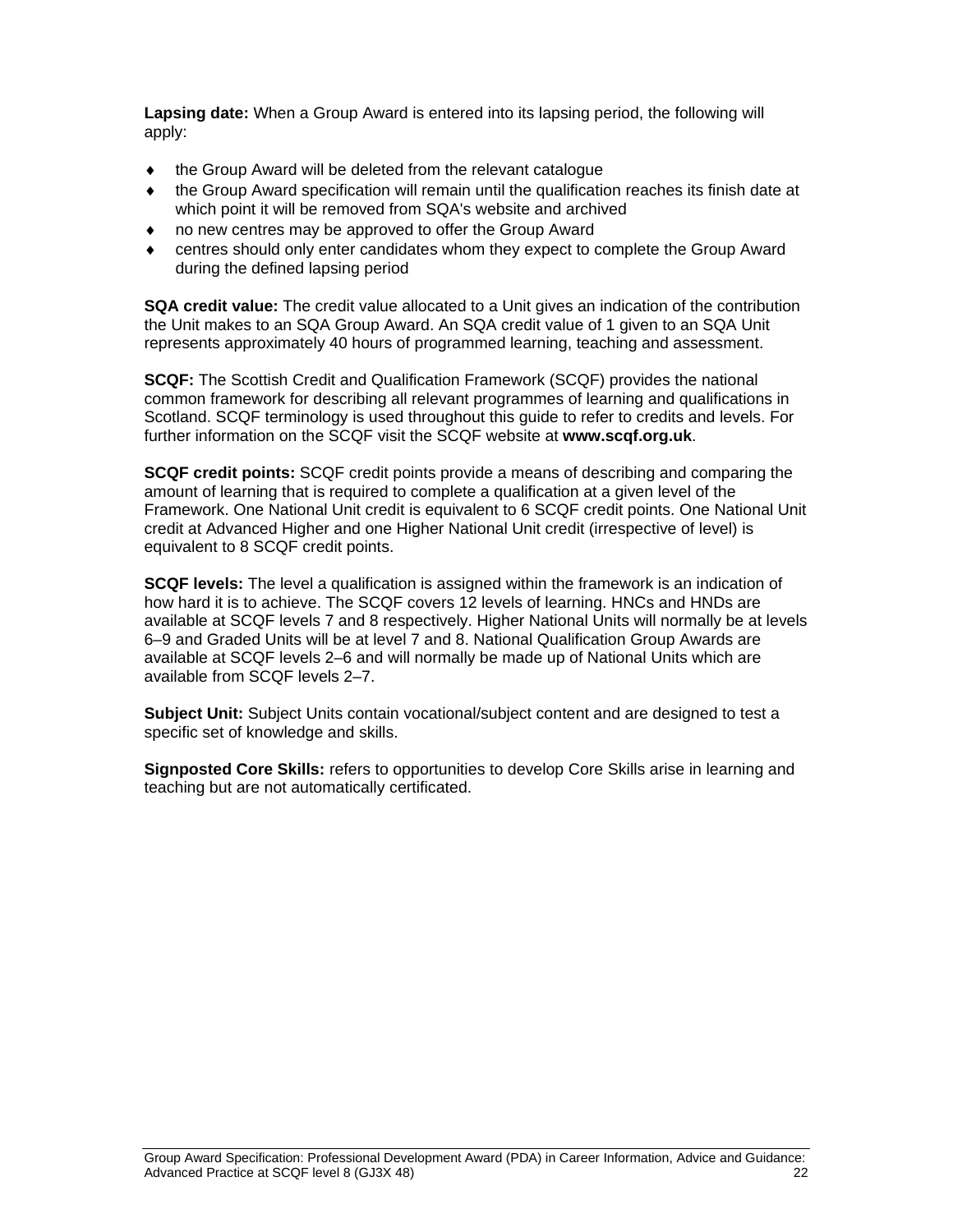**Lapsing date:** When a Group Award is entered into its lapsing period, the following will apply:

- $\bullet$  the Group Award will be deleted from the relevant catalogue
- the Group Award specification will remain until the qualification reaches its finish date at which point it will be removed from SQA's website and archived
- no new centres may be approved to offer the Group Award
- centres should only enter candidates whom they expect to complete the Group Award during the defined lapsing period

**SQA credit value:** The credit value allocated to a Unit gives an indication of the contribution the Unit makes to an SQA Group Award. An SQA credit value of 1 given to an SQA Unit represents approximately 40 hours of programmed learning, teaching and assessment.

**SCQF:** The Scottish Credit and Qualification Framework (SCQF) provides the national common framework for describing all relevant programmes of learning and qualifications in Scotland. SCQF terminology is used throughout this guide to refer to credits and levels. For further information on the SCQF visit the SCQF website at **www.scqf.org.uk**.

**SCQF credit points:** SCQF credit points provide a means of describing and comparing the amount of learning that is required to complete a qualification at a given level of the Framework. One National Unit credit is equivalent to 6 SCQF credit points. One National Unit credit at Advanced Higher and one Higher National Unit credit (irrespective of level) is equivalent to 8 SCQF credit points.

**SCQF levels:** The level a qualification is assigned within the framework is an indication of how hard it is to achieve. The SCQF covers 12 levels of learning. HNCs and HNDs are available at SCQF levels 7 and 8 respectively. Higher National Units will normally be at levels 6–9 and Graded Units will be at level 7 and 8. National Qualification Group Awards are available at SCQF levels 2–6 and will normally be made up of National Units which are available from SCQF levels 2–7.

**Subject Unit:** Subject Units contain vocational/subject content and are designed to test a specific set of knowledge and skills.

**Signposted Core Skills:** refers to opportunities to develop Core Skills arise in learning and teaching but are not automatically certificated.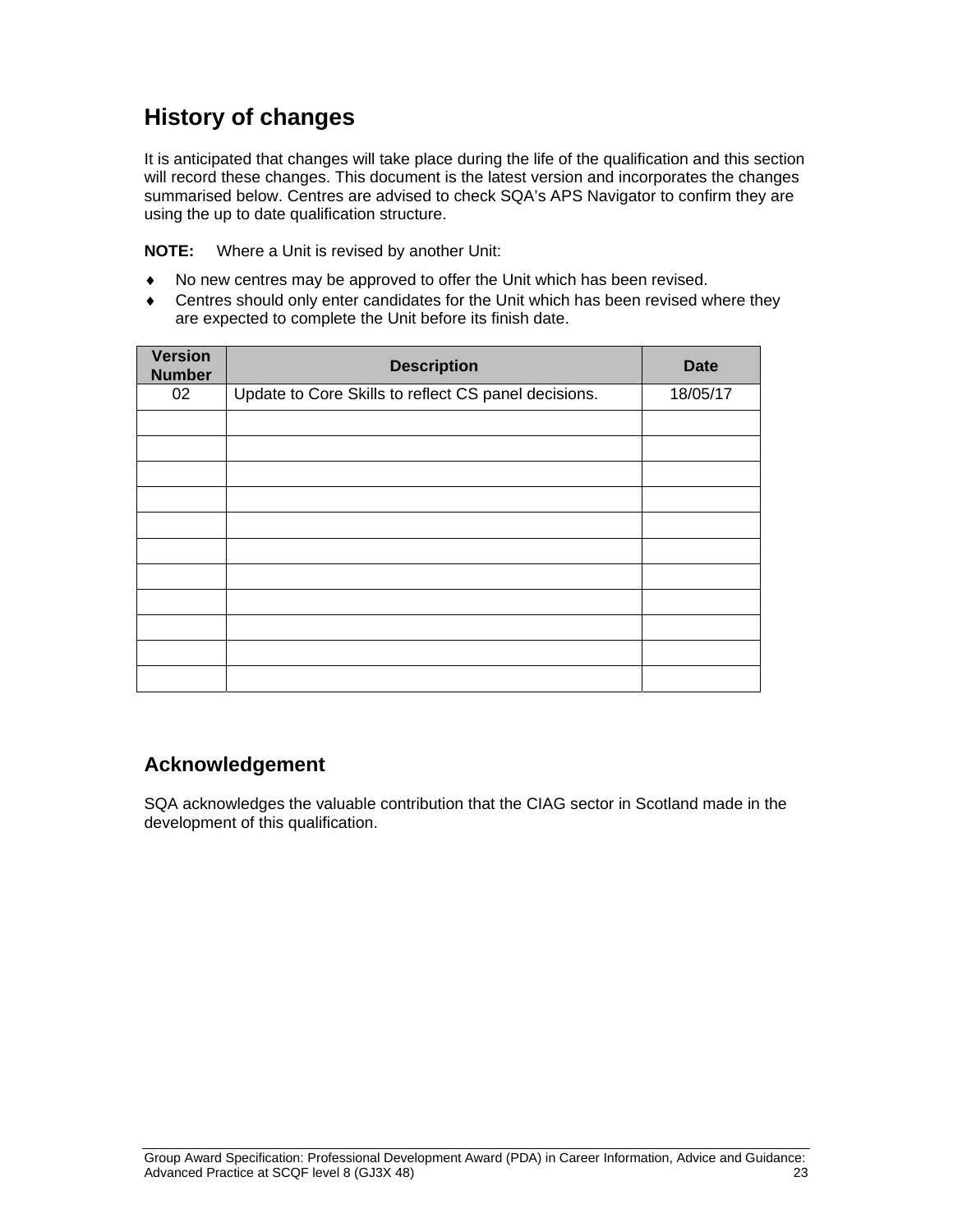## **History of changes**

It is anticipated that changes will take place during the life of the qualification and this section will record these changes. This document is the latest version and incorporates the changes summarised below. Centres are advised to check SQA's APS Navigator to confirm they are using the up to date qualification structure.

**NOTE:** Where a Unit is revised by another Unit:

- No new centres may be approved to offer the Unit which has been revised.
- Centres should only enter candidates for the Unit which has been revised where they are expected to complete the Unit before its finish date.

| <b>Version</b><br><b>Number</b> | <b>Description</b>                                   | <b>Date</b> |
|---------------------------------|------------------------------------------------------|-------------|
| 02                              | Update to Core Skills to reflect CS panel decisions. | 18/05/17    |
|                                 |                                                      |             |
|                                 |                                                      |             |
|                                 |                                                      |             |
|                                 |                                                      |             |
|                                 |                                                      |             |
|                                 |                                                      |             |
|                                 |                                                      |             |
|                                 |                                                      |             |
|                                 |                                                      |             |
|                                 |                                                      |             |
|                                 |                                                      |             |

#### **Acknowledgement**

SQA acknowledges the valuable contribution that the CIAG sector in Scotland made in the development of this qualification.